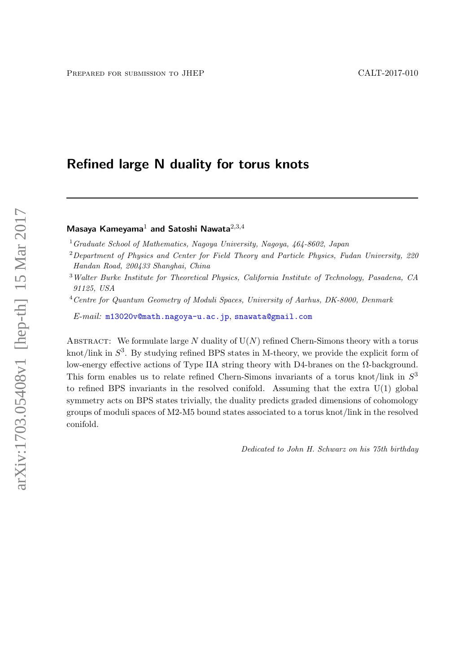# Refined large N duality for torus knots

Masaya Kameyama<sup>1</sup> and Satoshi Nawata<sup>2,3,4</sup>

<sup>1</sup>Graduate School of Mathematics, Nagoya University, Nagoya,  $464-8602$ , Japan

<sup>2</sup> Department of Physics and Center for Field Theory and Particle Physics, Fudan University, 220 Handan Road, 200433 Shanghai, China

<sup>4</sup>Centre for Quantum Geometry of Moduli Spaces, University of Aarhus, DK-8000, Denmark

E-mail: [m13020v@math.nagoya-u.ac.jp](mailto:m13020v@math.nagoya-u.ac.jp), [snawata@gmail.com](mailto:snawata@gmail.com)

ABSTRACT: We formulate large  $N$  duality of  $U(N)$  refined Chern-Simons theory with a torus knot/link in  $S^3$ . By studying refined BPS states in M-theory, we provide the explicit form of low-energy effective actions of Type IIA string theory with D4-branes on the Ω-background. This form enables us to relate refined Chern-Simons invariants of a torus knot/link in  $S<sup>3</sup>$ to refined BPS invariants in the resolved conifold. Assuming that the extra U(1) global symmetry acts on BPS states trivially, the duality predicts graded dimensions of cohomology groups of moduli spaces of M2-M5 bound states associated to a torus knot/link in the resolved conifold.

Dedicated to John H. Schwarz on his 75th birthday

<sup>3</sup>Walter Burke Institute for Theoretical Physics, California Institute of Technology, Pasadena, CA 91125, USA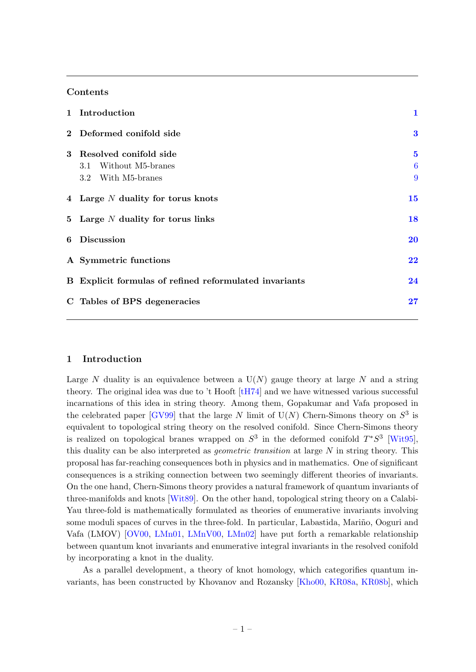# Contents

|   | 1 Introduction                                                        | $\mathbf{1}$       |
|---|-----------------------------------------------------------------------|--------------------|
|   | 2 Deformed conifold side                                              | $\bf{3}$           |
| 3 | Resolved conifold side<br>3.1 Without M5-branes<br>3.2 With M5-branes | $\bf{5}$<br>6<br>9 |
|   | 4 Large N duality for torus knots                                     | 15                 |
|   | 5 Large $N$ duality for torus links                                   | 18                 |
|   | 6 Discussion                                                          | <b>20</b>          |
|   | A Symmetric functions                                                 | 22                 |
|   | B Explicit formulas of refined reformulated invariants                | 24                 |
|   | C Tables of BPS degeneracies                                          | 27                 |
|   |                                                                       |                    |

## <span id="page-1-0"></span>1 Introduction

Large N duality is an equivalence between a  $U(N)$  gauge theory at large N and a string theory. The original idea was due to 't Hooft [\[tH74\]](#page-31-0) and we have witnessed various successful incarnations of this idea in string theory. Among them, Gopakumar and Vafa proposed in the celebrated paper  $[GV99]$  that the large N limit of  $U(N)$  Chern-Simons theory on  $S^3$  is equivalent to topological string theory on the resolved conifold. Since Chern-Simons theory is realized on topological branes wrapped on  $S^3$  in the deformed conifold  $T^*S^3$  [\[Wit95\]](#page-31-1), this duality can be also interpreted as geometric transition at large N in string theory. This proposal has far-reaching consequences both in physics and in mathematics. One of significant consequences is a striking connection between two seemingly different theories of invariants. On the one hand, Chern-Simons theory provides a natural framework of quantum invariants of three-manifolds and knots [\[Wit89\]](#page-31-2). On the other hand, topological string theory on a Calabi-Yau three-fold is mathematically formulated as theories of enumerative invariants involving some moduli spaces of curves in the three-fold. In particular, Labastida, Mariño, Ooguri and Vafa (LMOV) [\[OV00,](#page-31-3) [LMn01,](#page-30-1) [LMnV00,](#page-30-2) [LMn02\]](#page-30-3) have put forth a remarkable relationship between quantum knot invariants and enumerative integral invariants in the resolved conifold by incorporating a knot in the duality.

As a parallel development, a theory of knot homology, which categorifies quantum invariants, has been constructed by Khovanov and Rozansky [\[Kho00,](#page-30-4) [KR08a,](#page-30-5) [KR08b\]](#page-30-6), which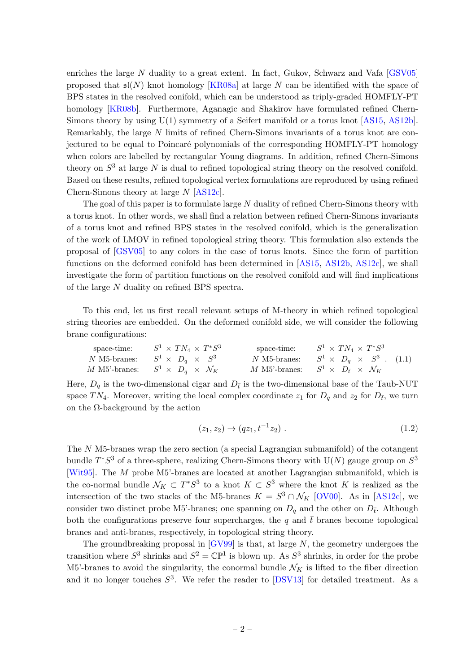enriches the large N duality to a great extent. In fact, Gukov, Schwarz and Vafa [\[GSV05\]](#page-30-7) proposed that  $\mathfrak{sl}(N)$  knot homology [\[KR08a\]](#page-30-5) at large N can be identified with the space of BPS states in the resolved conifold, which can be understood as triply-graded HOMFLY-PT homology [\[KR08b\]](#page-30-6). Furthermore, Aganagic and Shakirov have formulated refined Chern-Simons theory by using  $U(1)$  symmetry of a Seifert manifold or a torus knot [\[AS15,](#page-29-0) [AS12b\]](#page-29-1). Remarkably, the large N limits of refined Chern-Simons invariants of a torus knot are conjectured to be equal to Poincaré polynomials of the corresponding HOMFLY-PT homology when colors are labelled by rectangular Young diagrams. In addition, refined Chern-Simons theory on  $S^3$  at large N is dual to refined topological string theory on the resolved conifold. Based on these results, refined topological vertex formulations are reproduced by using refined Chern-Simons theory at large N [\[AS12c\]](#page-29-2).

The goal of this paper is to formulate large N duality of refined Chern-Simons theory with a torus knot. In other words, we shall find a relation between refined Chern-Simons invariants of a torus knot and refined BPS states in the resolved conifold, which is the generalization of the work of LMOV in refined topological string theory. This formulation also extends the proposal of [\[GSV05\]](#page-30-7) to any colors in the case of torus knots. Since the form of partition functions on the deformed conifold has been determined in [\[AS15,](#page-29-0) [AS12b,](#page-29-1) [AS12c\]](#page-29-2), we shall investigate the form of partition functions on the resolved conifold and will find implications of the large N duality on refined BPS spectra.

To this end, let us first recall relevant setups of M-theory in which refined topological string theories are embedded. On the deformed conifold side, we will consider the following brane configurations:

<span id="page-2-0"></span>

| space-time: $S^1 \times TN_4 \times T^*S^3$         | space-time: $S^1 \times TN_4 \times T^*S^3$                 |
|-----------------------------------------------------|-------------------------------------------------------------|
| <i>N</i> M5-branes: $S^1 \times D_a \times S^3$     | <i>N</i> M5-branes: $S^1 \times D_a \times S^3$ . (1.1)     |
| M M5'-branes: $S^1 \times D_a \times \mathcal{N}_K$ | M M5'-branes: $S^1 \times D_{\bar{t}} \times \mathcal{N}_K$ |

Here,  $D_q$  is the two-dimensional cigar and  $D_{\bar{t}}$  is the two-dimensional base of the Taub-NUT space TN<sub>4</sub>. Moreover, writing the local complex coordinate  $z_1$  for  $D_q$  and  $z_2$  for  $D_{\bar{t}}$ , we turn on the  $\Omega$ -background by the action

<span id="page-2-1"></span>
$$
(z_1, z_2) \to (qz_1, t^{-1}z_2) \tag{1.2}
$$

The N M5-branes wrap the zero section (a special Lagrangian submanifold) of the cotangent bundle  $T^*S^3$  of a three-sphere, realizing Chern-Simons theory with  $U(N)$  gauge group on  $S^3$ [\[Wit95\]](#page-31-1). The M probe M5'-branes are located at another Lagrangian submanifold, which is the co-normal bundle  $\mathcal{N}_K \subset T^*S^3$  to a knot  $K \subset S^3$  where the knot K is realized as the intersection of the two stacks of the M5-branes  $K = S^3 \cap \mathcal{N}_K$  [\[OV00\]](#page-31-3). As in [\[AS12c\]](#page-29-2), we consider two distinct probe M5'-branes; one spanning on  $D_q$  and the other on  $D_{\bar{t}}$ . Although both the configurations preserve four supercharges, the q and  $\bar{t}$  branes become topological branes and anti-branes, respectively, in topological string theory.

The groundbreaking proposal in  $[GV99]$  is that, at large N, the geometry undergoes the transition where  $S^3$  shrinks and  $S^2 = \mathbb{CP}^1$  is blown up. As  $S^3$  shrinks, in order for the probe M5'-branes to avoid the singularity, the conormal bundle  $\mathcal{N}_K$  is lifted to the fiber direction and it no longer touches  $S^3$ . We refer the reader to [\[DSV13\]](#page-29-3) for detailed treatment. As a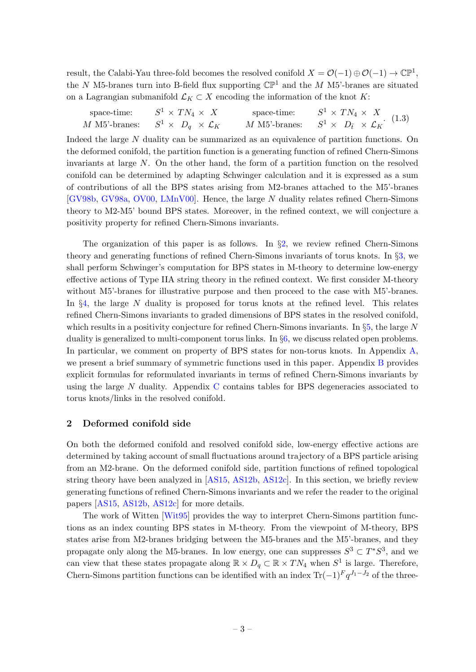result, the Calabi-Yau three-fold becomes the resolved conifold  $X = \mathcal{O}(-1) \oplus \mathcal{O}(-1) \to \mathbb{CP}^1$ , the N M5-branes turn into B-field flux supporting  $\mathbb{CP}^1$  and the M M5'-branes are situated on a Lagrangian submanifold  $\mathcal{L}_K \subset X$  encoding the information of the knot K:

<span id="page-3-1"></span>

| space-time: | $S^1 \times TN_4 \times X$                          | space-time: $S^1 \times TN_4 \times X$<br>M M5'-branes: $S^1 \times D_{\bar{t}} \times \mathcal{L}_K$ . (1.3) |
|-------------|-----------------------------------------------------|---------------------------------------------------------------------------------------------------------------|
|             | M M5'-branes: $S^1 \times D_q \times \mathcal{L}_K$ |                                                                                                               |

Indeed the large N duality can be summarized as an equivalence of partition functions. On the deformed conifold, the partition function is a generating function of refined Chern-Simons invariants at large N. On the other hand, the form of a partition function on the resolved conifold can be determined by adapting Schwinger calculation and it is expressed as a sum of contributions of all the BPS states arising from M2-branes attached to the M5'-branes [\[GV98b,](#page-30-8) [GV98a,](#page-30-9) [OV00,](#page-31-3) [LMnV00\]](#page-30-2). Hence, the large N duality relates refined Chern-Simons theory to M2-M5' bound BPS states. Moreover, in the refined context, we will conjecture a positivity property for refined Chern-Simons invariants.

The organization of this paper is as follows. In  $\S2$ , we review refined Chern-Simons theory and generating functions of refined Chern-Simons invariants of torus knots. In §[3,](#page-5-0) we shall perform Schwinger's computation for BPS states in M-theory to determine low-energy effective actions of Type IIA string theory in the refined context. We first consider M-theory without M5'-branes for illustrative purpose and then proceed to the case with M5'-branes. In  $\S4$ , the large N duality is proposed for torus knots at the refined level. This relates refined Chern-Simons invariants to graded dimensions of BPS states in the resolved conifold, which results in a positivity conjecture for refined Chern-Simons invariants. In §[5,](#page-18-0) the large N duality is generalized to multi-component torus links. In §[6,](#page-20-0) we discuss related open problems. In particular, we comment on property of BPS states for non-torus knots. In Appendix [A,](#page-22-0) we present a brief summary of symmetric functions used in this paper. Appendix [B](#page-24-0) provides explicit formulas for reformulated invariants in terms of refined Chern-Simons invariants by using the large N duality. Appendix [C](#page-27-0) contains tables for BPS degeneracies associated to torus knots/links in the resolved conifold.

# <span id="page-3-0"></span>2 Deformed conifold side

On both the deformed conifold and resolved conifold side, low-energy effective actions are determined by taking account of small fluctuations around trajectory of a BPS particle arising from an M2-brane. On the deformed conifold side, partition functions of refined topological string theory have been analyzed in [\[AS15,](#page-29-0) [AS12b,](#page-29-1) [AS12c\]](#page-29-2). In this section, we briefly review generating functions of refined Chern-Simons invariants and we refer the reader to the original papers [\[AS15,](#page-29-0) [AS12b,](#page-29-1) [AS12c\]](#page-29-2) for more details.

The work of Witten [\[Wit95\]](#page-31-1) provides the way to interpret Chern-Simons partition functions as an index counting BPS states in M-theory. From the viewpoint of M-theory, BPS states arise from M2-branes bridging between the M5-branes and the M5'-branes, and they propagate only along the M5-branes. In low energy, one can suppresses  $S^3 \subset T^*S^3$ , and we can view that these states propagate along  $\mathbb{R} \times D_q \subset \mathbb{R} \times TN_4$  when  $S^1$  is large. Therefore, Chern-Simons partition functions can be identified with an index  $\text{Tr}(-1)^F q^{J_1-J_2}$  of the three-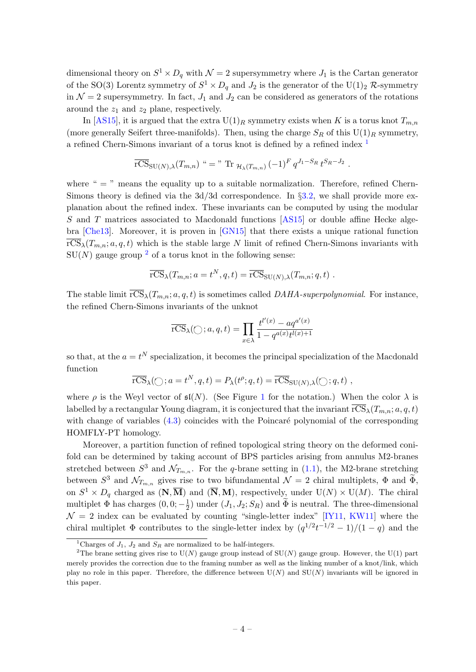dimensional theory on  $S^1 \times D_q$  with  $\mathcal{N} = 2$  supersymmetry where  $J_1$  is the Cartan generator of the SO(3) Lorentz symmetry of  $S^1 \times D_q$  and  $J_2$  is the generator of the U(1)<sub>2</sub> R-symmetry in  $\mathcal{N}=2$  supersymmetry. In fact,  $J_1$  and  $J_2$  can be considered as generators of the rotations around the  $z_1$  and  $z_2$  plane, respectively.

In [\[AS15\]](#page-29-0), it is argued that the extra  $U(1)_R$  symmetry exists when K is a torus knot  $T_{m,n}$ (more generally Seifert three-manifolds). Then, using the charge  $S_R$  of this  $U(1)_R$  symmetry, a refined Chern-Simons invariant of a torus knot is defined by a refined index [1](#page-4-0)

$$
\overline{\text{rCS}}_{\text{SU}(N),\lambda}(T_{m,n}) \text{``} = \text{``}\text{Tr}_{\mathcal{H}_{\lambda}(T_{m,n})}(-1)^F q^{J_1-S_R} t^{S_R-J_2}.
$$

where "  $=$  " means the equality up to a suitable normalization. Therefore, refined Chern-Simons theory is defined via the 3d/3d correspondence. In §[3.2,](#page-9-0) we shall provide more explanation about the refined index. These invariants can be computed by using the modular S and T matrices associated to Macdonald functions [\[AS15\]](#page-29-0) or double affine Hecke algebra [\[Che13\]](#page-29-4). Moreover, it is proven in [\[GN15\]](#page-29-5) that there exists a unique rational function  $\overline{\text{rCS}}_{\lambda}(T_{m,n}; a, q, t)$  which is the stable large N limit of refined Chern-Simons invariants with  $SU(N)$  gauge group <sup>[2](#page-4-1)</sup> of a torus knot in the following sense:

$$
\overline{\text{rCS}}_{\lambda}(T_{m,n};a=t^N,q,t)=\overline{\text{rCS}}_{\text{SU}(N),\lambda}(T_{m,n};q,t).
$$

The stable limit  $\overline{rCS}_{\lambda}(T_{m,n}; a, q, t)$  is sometimes called DAHA-superpolynomial. For instance, the refined Chern-Simons invariants of the unknot

$$
\overline{\text{rCS}}_{\lambda}(\bigcirc; a, q, t) = \prod_{x \in \lambda} \frac{t^{l'(x)} - aq^{a'(x)}}{1 - q^{a(x)}t^{l(x)+1}}
$$

so that, at the  $a = t^N$  specialization, it becomes the principal specialization of the Macdonald function

$$
\overline{\text{rCS}}_{\lambda}(\bigcirc; a=t^N, q, t) = P_{\lambda}(t^{\rho}; q, t) = \overline{\text{rCS}}_{\text{SU}(N), \lambda}(\bigcirc; q, t) ,
$$

where  $\rho$  is the Weyl vector of  $\mathfrak{sl}(N)$ . (See Figure [1](#page-22-1) for the notation.) When the color  $\lambda$  is labelled by a rectangular Young diagram, it is conjectured that the invariant  $\overline{\text{rCS}}_{\lambda}(T_{m,n}; a, q, t)$ with change of variables  $(4.3)$  coincides with the Poincaré polynomial of the corresponding HOMFLY-PT homology.

Moreover, a partition function of refined topological string theory on the deformed conifold can be determined by taking account of BPS particles arising from annulus M2-branes stretched between  $S^3$  and  $\mathcal{N}_{T_{m,n}}$ . For the q-brane setting in [\(1.1\)](#page-2-0), the M2-brane stretching between  $S^3$  and  $\mathcal{N}_{T_{m,n}}$  gives rise to two bifundamental  $\mathcal{N}=2$  chiral multiplets,  $\Phi$  and  $\widetilde{\Phi}$ , on  $S^1 \times D_q$  charged as  $(N, \overline{M})$  and  $(\overline{N}, M)$ , respectively, under  $U(N) \times U(M)$ . The chiral multiplet  $\Phi$  has charges  $(0,0; -\frac{1}{2})$  $\frac{1}{2}$ ) under  $(J_1, J_2; S_R)$  and  $\Phi$  is neutral. The three-dimensional  $\mathcal{N} = 2$  index can be evaluated by counting "single-letter index" [\[IY11,](#page-30-10) [KW11\]](#page-30-11) where the chiral multiplet  $\Phi$  contributes to the single-letter index by  $(q^{1/2}t^{-1/2} - 1)/(1 - q)$  and the

<span id="page-4-1"></span><span id="page-4-0"></span><sup>&</sup>lt;sup>1</sup>Charges of  $J_1$ ,  $J_2$  and  $S_R$  are normalized to be half-integers.

<sup>&</sup>lt;sup>2</sup>The brane setting gives rise to  $U(N)$  gauge group instead of  $SU(N)$  gauge group. However, the U(1) part merely provides the correction due to the framing number as well as the linking number of a knot/link, which play no role in this paper. Therefore, the difference between  $U(N)$  and  $SU(N)$  invariants will be ignored in this paper.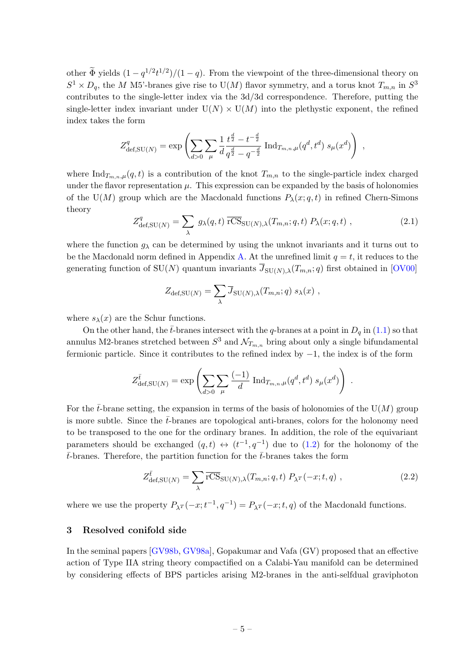other  $\tilde{\Phi}$  yields  $(1 - q^{1/2}t^{1/2})/(1 - q)$ . From the viewpoint of the three-dimensional theory on  $S^1 \times D_q$ , the M M5'-branes give rise to U(M) flavor symmetry, and a torus knot  $T_{m,n}$  in  $S^3$ contributes to the single-letter index via the 3d/3d correspondence. Therefore, putting the single-letter index invariant under  $U(N) \times U(M)$  into the plethystic exponent, the refined index takes the form

$$
Z_{\text{def},\text{SU}(N)}^q = \exp\left(\sum_{d>0} \sum_{\mu} \frac{1}{d} \frac{t^{\frac{d}{2}} - t^{-\frac{d}{2}}}{q^{\frac{d}{2}} - q^{-\frac{d}{2}}} \operatorname{Ind}_{T_{m,n},\mu}(q^d, t^d) s_{\mu}(x^d)\right) ,
$$

where  $\text{Ind}_{T_{m,n},\mu}(q,t)$  is a contribution of the knot  $T_{m,n}$  to the single-particle index charged under the flavor representation  $\mu$ . This expression can be expanded by the basis of holonomies of the U(M) group which are the Macdonald functions  $P_{\lambda}(x; q, t)$  in refined Chern-Simons theory

<span id="page-5-1"></span>
$$
Z_{\text{def},\text{SU}(N)}^q = \sum_{\lambda} g_{\lambda}(q,t) \overline{\text{rCS}}_{\text{SU}(N),\lambda}(T_{m,n};q,t) P_{\lambda}(x;q,t) , \qquad (2.1)
$$

where the function  $g_{\lambda}$  can be determined by using the unknot invariants and it turns out to be the Macdonald norm defined in Appendix [A.](#page-22-0) At the unrefined limit  $q = t$ , it reduces to the generating function of SU(N) quantum invariants  $\overline{J}_{SU(N),\lambda}(T_{m,n}; q)$  first obtained in [\[OV00\]](#page-31-3)

$$
Z_{\text{def},\text{SU}(N)} = \sum_{\lambda} \overline{J}_{\text{SU}(N),\lambda}(T_{m,n};q) s_{\lambda}(x) ,
$$

where  $s_{\lambda}(x)$  are the Schur functions.

On the other hand, the  $\bar{t}$ -branes intersect with the q-branes at a point in  $D_q$  in [\(1.1\)](#page-2-0) so that annulus M2-branes stretched between  $S^3$  and  $\mathcal{N}_{T_{m,n}}$  bring about only a single bifundamental fermionic particle. Since it contributes to the refined index by −1, the index is of the form

$$
Z_{\text{def},\text{SU}(N)}^{\bar{t}} = \exp\left(\sum_{d>0} \sum_{\mu} \frac{(-1)}{d} \operatorname{Ind}_{T_{m,n},\mu}(q^d, t^d) s_{\mu}(x^d)\right) .
$$

For the  $\bar{t}$ -brane setting, the expansion in terms of the basis of holonomies of the U(M) group is more subtle. Since the  $\bar{t}$ -branes are topological anti-branes, colors for the holonomy need to be transposed to the one for the ordinary branes. In addition, the role of the equivariant parameters should be exchanged  $(q,t) \leftrightarrow (t^{-1}, q^{-1})$  due to  $(1.2)$  for the holonomy of the  $\bar{t}$ -branes. Therefore, the partition function for the  $\bar{t}$ -branes takes the form

<span id="page-5-2"></span>
$$
Z_{\text{def},\text{SU}(N)}^{\bar{t}} = \sum_{\lambda} \overline{\text{rCS}}_{\text{SU}(N),\lambda}(T_{m,n};q,t) \ P_{\lambda}r(-x;t,q) \ , \tag{2.2}
$$

where we use the property  $P_{\lambda}r(-x;t^{-1},q^{-1}) = P_{\lambda}r(-x;t,q)$  of the Macdonald functions.

#### <span id="page-5-0"></span>3 Resolved conifold side

In the seminal papers [\[GV98b,](#page-30-8) [GV98a\]](#page-30-9), Gopakumar and Vafa (GV) proposed that an effective action of Type IIA string theory compactified on a Calabi-Yau manifold can be determined by considering effects of BPS particles arising M2-branes in the anti-selfdual graviphoton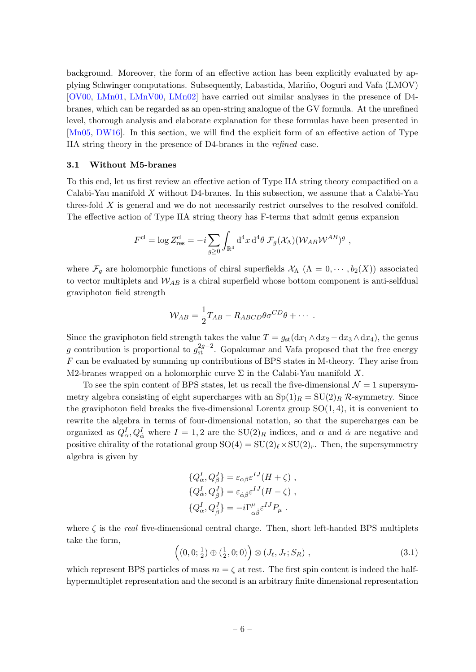background. Moreover, the form of an effective action has been explicitly evaluated by applying Schwinger computations. Subsequently, Labastida, Mari˜no, Ooguri and Vafa (LMOV) [\[OV00,](#page-31-3) [LMn01,](#page-30-1) [LMnV00,](#page-30-2) [LMn02\]](#page-30-3) have carried out similar analyses in the presence of D4 branes, which can be regarded as an open-string analogue of the GV formula. At the unrefined level, thorough analysis and elaborate explanation for these formulas have been presented in [\[Mn05,](#page-30-12) [DW16\]](#page-29-6). In this section, we will find the explicit form of an effective action of Type IIA string theory in the presence of D4-branes in the refined case.

#### <span id="page-6-0"></span>3.1 Without M5-branes

To this end, let us first review an effective action of Type IIA string theory compactified on a Calabi-Yau manifold X without D4-branes. In this subsection, we assume that a Calabi-Yau three-fold  $X$  is general and we do not necessarily restrict ourselves to the resolved conifold. The effective action of Type IIA string theory has F-terms that admit genus expansion

$$
F^{\text{cl}} = \log Z_{\text{res}}^{\text{cl}} = -i \sum_{g \ge 0} \int_{\mathbb{R}^4} d^4x \, d^4\theta \, \mathcal{F}_g(\mathcal{X}_\Lambda) (\mathcal{W}_{AB} \mathcal{W}^{AB})^g \;,
$$

where  $\mathcal{F}_g$  are holomorphic functions of chiral superfields  $\mathcal{X}_\Lambda$   $(\Lambda = 0, \cdots, b_2(X))$  associated to vector multiplets and  $W_{AB}$  is a chiral superfield whose bottom component is anti-selfdual graviphoton field strength

$$
\mathcal{W}_{AB} = \frac{1}{2} T_{AB} - R_{ABCD} \theta \sigma^{CD} \theta + \cdots
$$

Since the graviphoton field strength takes the value  $T = g_{st}(dx_1 \wedge dx_2 - dx_3 \wedge dx_4)$ , the genus g contribution is proportional to  $g_{\rm st}^{2g-2}$ . Gopakumar and Vafa proposed that the free energy F can be evaluated by summing up contributions of BPS states in M-theory. They arise from M2-branes wrapped on a holomorphic curve  $\Sigma$  in the Calabi-Yau manifold X.

To see the spin content of BPS states, let us recall the five-dimensional  $\mathcal{N}=1$  supersymmetry algebra consisting of eight supercharges with an  $Sp(1)<sub>R</sub> = SU(2)<sub>R</sub> \mathcal{R}$ -symmetry. Since the graviphoton field breaks the five-dimensional Lorentz group  $SO(1,4)$ , it is convenient to rewrite the algebra in terms of four-dimensional notation, so that the supercharges can be organized as  $Q^I_{\alpha}, Q^I_{\dot{\alpha}}$  where  $I = 1, 2$  are the  $SU(2)_R$  indices, and  $\alpha$  and  $\dot{\alpha}$  are negative and positive chirality of the rotational group  $SO(4) = SU(2)_{\ell} \times SU(2)_{r}$ . Then, the supersymmetry algebra is given by

$$
\{Q^I_{\alpha}, Q^J_{\beta}\} = \varepsilon_{\alpha\beta}\varepsilon^{IJ}(H + \zeta) ,
$$
  
\n
$$
\{Q^I_{\alpha}, Q^J_{\beta}\} = \varepsilon_{\alpha\beta}\varepsilon^{IJ}(H - \zeta) ,
$$
  
\n
$$
\{Q^I_{\alpha}, Q^J_{\beta}\} = -i\Gamma^{\mu}_{\alpha\beta}\varepsilon^{IJ}P_{\mu} .
$$

where  $\zeta$  is the real five-dimensional central charge. Then, short left-handed BPS multiplets take the form,

<span id="page-6-1"></span>
$$
\left( (0,0;\frac{1}{2}) \oplus (\frac{1}{2},0;0) \right) \otimes (J_{\ell}, J_r; S_R) , \qquad (3.1)
$$

which represent BPS particles of mass  $m = \zeta$  at rest. The first spin content is indeed the halfhypermultiplet representation and the second is an arbitrary finite dimensional representation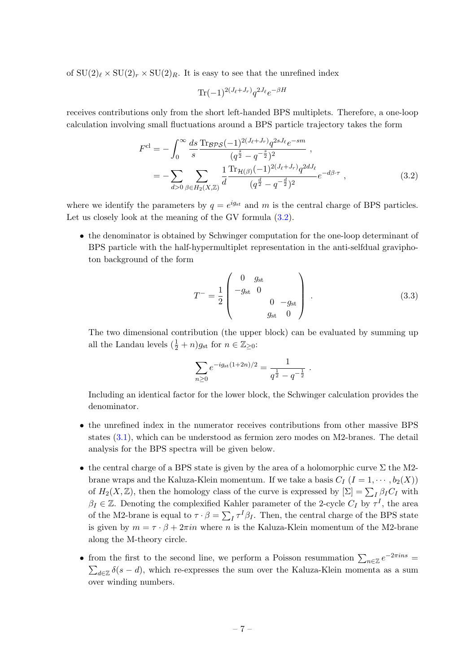of  $SU(2)_\ell \times SU(2)_r \times SU(2)_R$ . It is easy to see that the unrefined index

<span id="page-7-0"></span>
$$
\text{Tr}(-1)^{2(J_{\ell}+J_r)}q^{2J_{\ell}}e^{-\beta H}
$$

receives contributions only from the short left-handed BPS multiplets. Therefore, a one-loop calculation involving small fluctuations around a BPS particle trajectory takes the form

$$
F^{\text{cl}} = -\int_0^\infty \frac{ds}{s} \frac{\text{Tr}_{\mathcal{BPS}}(-1)^{2(J_{\ell}+J_r)} q^{2sJ_{\ell}} e^{-sm}}{(q^{\frac{s}{2}} - q^{-\frac{s}{2}})^2},
$$
  
= 
$$
-\sum_{d>0} \sum_{\beta \in H_2(X,\mathbb{Z})} \frac{1}{d} \frac{\text{Tr}_{\mathcal{H}(\beta)}(-1)^{2(J_{\ell}+J_r)} q^{2dJ_{\ell}}}{(q^{\frac{d}{2}} - q^{-\frac{d}{2}})^2} e^{-d\beta \cdot \tau},
$$
(3.2)

where we identify the parameters by  $q = e^{ig_{st}}$  and m is the central charge of BPS particles. Let us closely look at the meaning of the GV formula  $(3.2)$ .

• the denominator is obtained by Schwinger computation for the one-loop determinant of BPS particle with the half-hypermultiplet representation in the anti-selfdual graviphoton background of the form

<span id="page-7-1"></span>
$$
T^{-} = \frac{1}{2} \begin{pmatrix} 0 & g_{\rm st} \\ -g_{\rm st} & 0 \\ 0 & -g_{\rm st} \\ g_{\rm st} & 0 \end{pmatrix} . \tag{3.3}
$$

The two dimensional contribution (the upper block) can be evaluated by summing up all the Landau levels  $(\frac{1}{2} + n)g_{st}$  for  $n \in \mathbb{Z}_{\geq 0}$ :

$$
\sum_{n\geq 0} e^{-ig_{\rm st}(1+2n)/2} = \frac{1}{q^{\frac{1}{2}} - q^{-\frac{1}{2}}}.
$$

Including an identical factor for the lower block, the Schwinger calculation provides the denominator.

- the unrefined index in the numerator receives contributions from other massive BPS states [\(3.1\)](#page-6-1), which can be understood as fermion zero modes on M2-branes. The detail analysis for the BPS spectra will be given below.
- the central charge of a BPS state is given by the area of a holomorphic curve  $\Sigma$  the M2brane wraps and the Kaluza-Klein momentum. If we take a basis  $C_I$   $(I = 1, \dots, b_2(X))$ of  $H_2(X, \mathbb{Z})$ , then the homology class of the curve is expressed by  $[\Sigma] = \sum_I \beta_I C_I$  with  $\beta_I \in \mathbb{Z}$ . Denoting the complexified Kahler parameter of the 2-cycle  $C_I$  by  $\tau^I$ , the area of the M2-brane is equal to  $\tau \cdot \beta = \sum_I \tau^I \beta_I$ . Then, the central charge of the BPS state is given by  $m = \tau \cdot \beta + 2\pi in$  where n is the Kaluza-Klein momentum of the M2-brane along the M-theory circle.
- from the first to the second line, we perform a Poisson resummation  $\sum_{n\in\mathbb{Z}}e^{-2\pi ins}$  =  $\sum_{d\in\mathbb{Z}}\delta(s-d)$ , which re-expresses the sum over the Kaluza-Klein momenta as a sum over winding numbers.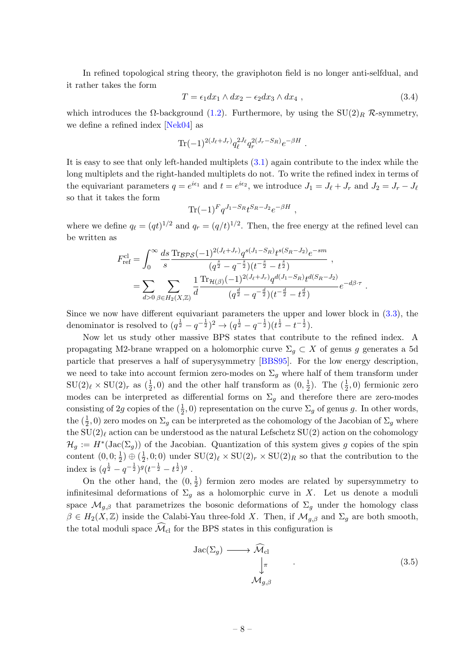In refined topological string theory, the graviphoton field is no longer anti-selfdual, and it rather takes the form

<span id="page-8-1"></span>
$$
T = \epsilon_1 dx_1 \wedge dx_2 - \epsilon_2 dx_3 \wedge dx_4 , \qquad (3.4)
$$

which introduces the  $\Omega$ -background [\(1.2\)](#page-2-1). Furthermore, by using the SU(2)<sub>R</sub> R-symmetry, we define a refined index [\[Nek04\]](#page-31-4) as

$$
\text{Tr}(-1)^{2(J_{\ell}+J_r)}q_{\ell}^{2J_{\ell}}q_r^{2(J_r-S_R)}e^{-\beta H}.
$$

It is easy to see that only left-handed multiplets [\(3.1\)](#page-6-1) again contribute to the index while the long multiplets and the right-handed multiplets do not. To write the refined index in terms of the equivariant parameters  $q = e^{i\epsilon_1}$  and  $t = e^{i\epsilon_2}$ , we introduce  $J_1 = J_\ell + J_r$  and  $J_2 = J_r - J_\ell$ so that it takes the form

$$
\text{Tr}(-1)^F q^{J_1 - S_R} t^{S_R - J_2} e^{-\beta H} ,
$$

where we define  $q_{\ell} = (qt)^{1/2}$  and  $q_r = (q/t)^{1/2}$ . Then, the free energy at the refined level can be written as

$$
F_{\text{ref}}^{\text{cl}} = \int_0^\infty \frac{ds}{s} \frac{\text{Tr}_{\mathcal{BPS}}(-1)^{2(J_{\ell}+J_r)} q^{s(J_1-S_R)} t^{s(S_R-J_2)} e^{-sm}}{(q^{\frac{s}{2}} - q^{-\frac{s}{2}})(t^{-\frac{s}{2}} - t^{\frac{s}{2}})} ,
$$
  
= 
$$
\sum_{d>0} \sum_{\beta \in H_2(X,\mathbb{Z})} \frac{1}{d} \frac{\text{Tr}_{\mathcal{H}(\beta)}(-1)^{2(J_{\ell}+J_r)} q^{d(J_1-S_R)} t^{d(S_R-J_2)}}{(q^{\frac{d}{2}} - q^{-\frac{d}{2}})(t^{-\frac{d}{2}} - t^{\frac{d}{2}})} e^{-d\beta \cdot \tau} .
$$

Since we now have different equivariant parameters the upper and lower block in [\(3.3\)](#page-7-1), the denominator is resolved to  $(q^{\frac{1}{2}} - q^{-\frac{1}{2}})^2 \to (q^{\frac{1}{2}} - q^{-\frac{1}{2}})(t^{\frac{1}{2}} - t^{-\frac{1}{2}})$ .

Now let us study other massive BPS states that contribute to the refined index. A propagating M2-brane wrapped on a holomorphic curve  $\Sigma_q \subset X$  of genus g generates a 5d particle that preserves a half of superysymmetry [\[BBS95\]](#page-29-7). For the low energy description, we need to take into account fermion zero-modes on  $\Sigma_q$  where half of them transform under  $\text{SU}(2)_\ell \times \text{SU}(2)_r$  as  $(\frac{1}{2}, 0)$  and the other half transform as  $(0, \frac{1}{2})$  $(\frac{1}{2}, 0)$  fermionic zero modes can be interpreted as differential forms on  $\Sigma_q$  and therefore there are zero-modes consisting of 2g copies of the  $(\frac{1}{2}, 0)$  representation on the curve  $\Sigma_g$  of genus g. In other words, the  $(\frac{1}{2},0)$  zero modes on  $\Sigma_g$  can be interpreted as the cohomology of the Jacobian of  $\Sigma_g$  where the  $SU(2)_\ell$  action can be understood as the natural Lefschetz  $SU(2)$  action on the cohomology  $\mathcal{H}_g := H^*(\text{Jac}(\Sigma_g))$  of the Jacobian. Quantization of this system gives g copies of the spin content  $(0,0;\frac{1}{2}) \oplus (\frac{1}{2})$  $\frac{1}{2}$ , 0; 0) under  $SU(2)$ <sub>l</sub>  $\times$   $SU(2)$ <sub>r</sub>  $\times$   $SU(2)$ <sub>R</sub> so that the contribution to the index is  $(q^{\frac{1}{2}} - q^{-\frac{1}{2}})^g (t^{-\frac{1}{2}} - t^{\frac{1}{2}})^g$  .

On the other hand, the  $(0, \frac{1}{2})$  $\frac{1}{2}$ ) fermion zero modes are related by supersymmetry to infinitesimal deformations of  $\Sigma_q$  as a holomorphic curve in X. Let us denote a moduli space  $\mathcal{M}_{g,\beta}$  that parametrizes the bosonic deformations of  $\Sigma_g$  under the homology class  $\beta \in H_2(X,\mathbb{Z})$  inside the Calabi-Yau three-fold X. Then, if  $\mathcal{M}_{g,\beta}$  and  $\Sigma_g$  are both smooth, the total moduli space  $\widehat{\mathcal{M}}_{\text{cl}}$  for the BPS states in this configuration is

<span id="page-8-0"></span>
$$
\operatorname{Jac}(\Sigma_g) \longrightarrow \widehat{\mathcal{M}}_{\text{cl}} \\
\downarrow^{\pi} \tag{3.5}
$$
\n
$$
\mathcal{M}_{g,\beta}
$$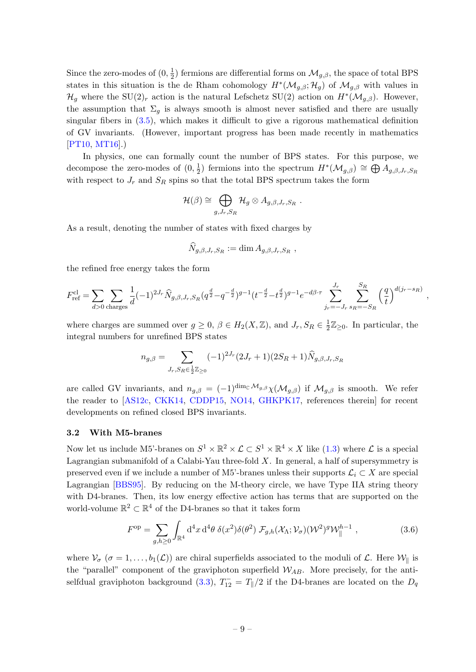Since the zero-modes of  $(0, \frac{1}{2})$  $\frac{1}{2}$ ) fermions are differential forms on  $\mathcal{M}_{g,\beta}$ , the space of total BPS states in this situation is the de Rham cohomology  $H^*(\mathcal{M}_{g,\beta};\mathcal{H}_g)$  of  $\mathcal{M}_{g,\beta}$  with values in  $\mathcal{H}_g$  where the SU(2)<sub>r</sub> action is the natural Lefschetz SU(2) action on  $H^*(\mathcal{M}_{g,\beta})$ . However, the assumption that  $\Sigma_q$  is always smooth is almost never satisfied and there are usually singular fibers in [\(3.5\)](#page-8-0), which makes it difficult to give a rigorous mathematical definition of GV invariants. (However, important progress has been made recently in mathematics [\[PT10,](#page-31-5) [MT16\]](#page-31-6).)

In physics, one can formally count the number of BPS states. For this purpose, we decompose the zero-modes of  $(0, \frac{1}{2})$  $\frac{1}{2}$ ) fermions into the spectrum  $H^*(\mathcal{M}_{g,\beta}) \cong \bigoplus A_{g,\beta,J_r,S_R}$ with respect to  $J_r$  and  $S_R$  spins so that the total BPS spectrum takes the form

$$
\mathcal{H}(\beta) \cong \bigoplus_{g,J_r,S_R} \mathcal{H}_g \otimes A_{g,\beta,J_r,S_R}.
$$

As a result, denoting the number of states with fixed charges by

$$
\widehat{N}_{g,\beta,J_r,S_R} := \dim A_{g,\beta,J_r,S_R} \;,
$$

the refined free energy takes the form

$$
F_{\rm ref}^{\rm cl} = \sum_{d>0} \sum_{\rm charges} \frac{1}{d} (-1)^{2J_r} \widehat{N}_{g,\beta,J_r,S_R}(q^{\frac{d}{2}} - q^{-\frac{d}{2}})^{g-1} (t^{-\frac{d}{2}} - t^{\frac{d}{2}})^{g-1} e^{-d\beta \cdot \tau} \sum_{j_r=-J_r}^{J_r} \sum_{s_R=-S_R}^{S_R} \left(\frac{q}{t}\right)^{d(j_r-s_R)}
$$

,

where charges are summed over  $g \geq 0$ ,  $\beta \in H_2(X, \mathbb{Z})$ , and  $J_r$ ,  $S_R \in \frac{1}{2}$  $\frac{1}{2}\mathbb{Z}_{\geq 0}$ . In particular, the integral numbers for unrefined BPS states

$$
n_{g,\beta} = \sum_{J_r, S_R \in \frac{1}{2} \mathbb{Z}_{\geq 0}} (-1)^{2J_r} (2J_r + 1)(2S_R + 1) \widehat{N}_{g,\beta,J_r, S_R}
$$

are called GV invariants, and  $n_{q,\beta} = (-1)^{\dim_{\mathbb{C}}\mathcal{M}_{g,\beta}} \chi(\mathcal{M}_{g,\beta})$  if  $\mathcal{M}_{g,\beta}$  is smooth. We refer the reader to [\[AS12c,](#page-29-2) [CKK14,](#page-29-8) [CDDP15,](#page-29-9) [NO14,](#page-31-7) [GHKPK17,](#page-29-10) references therein] for recent developments on refined closed BPS invariants.

# <span id="page-9-0"></span>3.2 With M5-branes

Now let us include M5'-branes on  $S^1 \times \mathbb{R}^2 \times \mathcal{L} \subset S^1 \times \mathbb{R}^4 \times X$  like  $(1.3)$  where  $\mathcal{L}$  is a special Lagrangian submanifold of a Calabi-Yau three-fold  $X$ . In general, a half of supersymmetry is preserved even if we include a number of M5'-branes unless their supports  $\mathcal{L}_i \subset X$  are special Lagrangian [\[BBS95\]](#page-29-7). By reducing on the M-theory circle, we have Type IIA string theory with D4-branes. Then, its low energy effective action has terms that are supported on the world-volume  $\mathbb{R}^2 \subset \mathbb{R}^4$  of the D4-branes so that it takes form

<span id="page-9-1"></span>
$$
F^{\rm op} = \sum_{g,h\geq 0} \int_{\mathbb{R}^4} d^4x \, d^4\theta \, \delta(x^2) \delta(\theta^2) \, \mathcal{F}_{g,h}(\mathcal{X}_\Lambda; \mathcal{V}_\sigma) (\mathcal{W}^2)^g \mathcal{W}^{h-1}_{\parallel} \;, \tag{3.6}
$$

where  $\mathcal{V}_{\sigma}$  ( $\sigma = 1, \ldots, b_1(\mathcal{L})$ ) are chiral superfields associated to the moduli of  $\mathcal{L}$ . Here  $\mathcal{W}_{\parallel}$  is the "parallel" component of the graviphoton superfield  $W_{AB}$ . More precisely, for the anti-selfdual graviphoton background [\(3.3\)](#page-7-1),  $T_{12}^- = T_{\parallel}/2$  if the D4-branes are located on the  $D_q$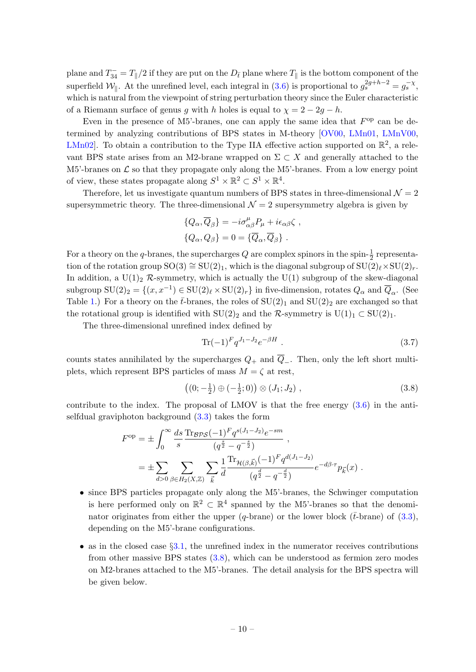plane and  $T_{34}^- = T_{\parallel}/2$  if they are put on the  $D_{\bar{t}}$  plane where  $T_{\parallel}$  is the bottom component of the superfield  $\mathcal{W}_{\parallel}$ . At the unrefined level, each integral in [\(3.6\)](#page-9-1) is proportional to  $g_s^{2g+h-2} = g_s^{-\chi}$ , which is natural from the viewpoint of string perturbation theory since the Euler characteristic of a Riemann surface of genus g with h holes is equal to  $\chi = 2 - 2g - h$ .

Even in the presence of M5'-branes, one can apply the same idea that  $F^{\rm op}$  can be determined by analyzing contributions of BPS states in M-theory [\[OV00,](#page-31-3) [LMn01,](#page-30-1) [LMnV00,](#page-30-2) LMn02. To obtain a contribution to the Type IIA effective action supported on  $\mathbb{R}^2$ , a relevant BPS state arises from an M2-brane wrapped on  $\Sigma \subset X$  and generally attached to the M5'-branes on  $\mathcal L$  so that they propagate only along the M5'-branes. From a low energy point of view, these states propagate along  $S^1 \times \mathbb{R}^2 \subset S^1 \times \mathbb{R}^4$ .

Therefore, let us investigate quantum numbers of BPS states in three-dimensional  $\mathcal{N} = 2$ supersymmetric theory. The three-dimensional  $\mathcal{N}=2$  supersymmetry algebra is given by

$$
\{Q_{\alpha}, \overline{Q}_{\beta}\} = -i\sigma^{\mu}_{\alpha\beta}P_{\mu} + i\epsilon_{\alpha\beta}\zeta ,
$$
  

$$
\{Q_{\alpha}, Q_{\beta}\} = 0 = \{\overline{Q}_{\alpha}, \overline{Q}_{\beta}\} .
$$

For a theory on the q-branes, the supercharges  $Q$  are complex spinors in the spin- $\frac{1}{2}$  representation of the rotation group  $SO(3) \cong SU(2)_1$ , which is the diagonal subgroup of  $SU(2)_{\ell} \times SU(2)_r$ . In addition, a  $U(1)_2$  R-symmetry, which is actually the  $U(1)$  subgroup of the skew-diagonal subgroup  $SU(2)_2 = \{(x, x^{-1}) \in SU(2)_\ell \times SU(2)_r\}$  in five-dimension, rotates  $Q_\alpha$  and  $\overline{Q}_\alpha$ . (See Table [1.](#page-11-0)) For a theory on the  $\bar{t}$ -branes, the roles of  $SU(2)_1$  and  $SU(2)_2$  are exchanged so that the rotational group is identified with  $SU(2)_2$  and the R-symmetry is  $U(1)_1 \subset SU(2)_1$ .

The three-dimensional unrefined index defined by

<span id="page-10-1"></span>
$$
\text{Tr}(-1)^F q^{J_1 - J_2} e^{-\beta H} \tag{3.7}
$$

counts states annihilated by the supercharges  $Q_+$  and  $\overline{Q}_-$ . Then, only the left short multiplets, which represent BPS particles of mass  $M = \zeta$  at rest,

<span id="page-10-0"></span>
$$
((0; -\frac{1}{2}) \oplus (-\frac{1}{2}; 0)) \otimes (J_1; J_2) , \qquad (3.8)
$$

contribute to the index. The proposal of LMOV is that the free energy  $(3.6)$  in the antiselfdual graviphoton background  $(3.3)$  takes the form

$$
F^{\rm op} = \pm \int_0^\infty \frac{ds}{s} \frac{\text{Tr}_{\mathcal{BPS}}(-1)^F q^{s(J_1-J_2)} e^{-sm}}{(q^{\frac{s}{2}} - q^{-\frac{s}{2}})},
$$
  

$$
= \pm \sum_{d>0} \sum_{\beta \in H_2(X,\mathbb{Z})} \sum_{\vec{k}} \frac{1}{d} \frac{\text{Tr}_{\mathcal{H}(\beta,\vec{k})}(-1)^F q^{d(J_1-J_2)}}{(q^{\frac{d}{2}} - q^{-\frac{d}{2}})} e^{-d\beta \cdot \tau} p_{\vec{k}}(x).
$$

- since BPS particles propagate only along the M5'-branes, the Schwinger computation is here performed only on  $\mathbb{R}^2 \subset \mathbb{R}^4$  spanned by the M5'-branes so that the denominator originates from either the upper (q-brane) or the lower block ( $\bar{t}$ -brane) of [\(3.3\)](#page-7-1), depending on the M5'-brane configurations.
- as in the closed case  $\S 3.1$ , the unrefined index in the numerator receives contributions from other massive BPS states [\(3.8\)](#page-10-0), which can be understood as fermion zero modes on M2-branes attached to the M5'-branes. The detail analysis for the BPS spectra will be given below.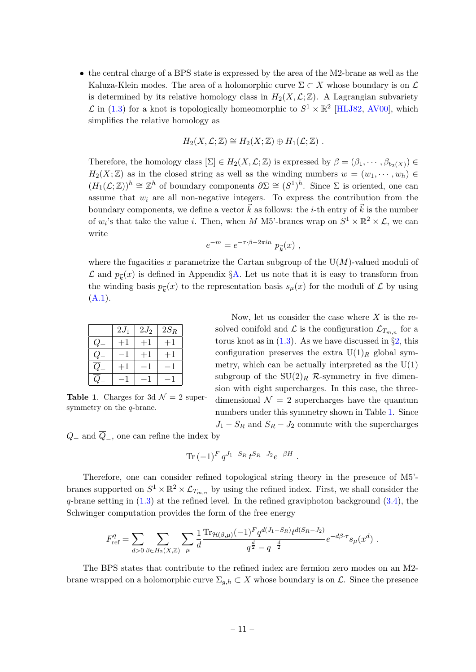• the central charge of a BPS state is expressed by the area of the M2-brane as well as the Kaluza-Klein modes. The area of a holomorphic curve  $\Sigma \subset X$  whose boundary is on  $\mathcal L$ is determined by its relative homology class in  $H_2(X, \mathcal{L}; \mathbb{Z})$ . A Lagrangian subvariety  $\mathcal L$  in [\(1.3\)](#page-3-1) for a knot is topologically homeomorphic to  $S^1 \times \mathbb{R}^2$  [\[HLJ82,](#page-30-13) [AV00\]](#page-29-11), which simplifies the relative homology as

$$
H_2(X, \mathcal{L}; \mathbb{Z}) \cong H_2(X; \mathbb{Z}) \oplus H_1(\mathcal{L}; \mathbb{Z}) .
$$

Therefore, the homology class  $[\Sigma] \in H_2(X, \mathcal{L}; \mathbb{Z})$  is expressed by  $\beta = (\beta_1, \dots, \beta_{b_2(X)}) \in$  $H_2(X;\mathbb{Z})$  as in the closed string as well as the winding numbers  $w = (w_1, \dots, w_h) \in$  $(H_1(\mathcal{L}; \mathbb{Z}))^h \cong \mathbb{Z}^h$  of boundary components  $\partial \Sigma \cong (S^1)^h$ . Since  $\Sigma$  is oriented, one can assume that  $w_i$  are all non-negative integers. To express the contribution from the boundary components, we define a vector  $\vec{k}$  as follows: the *i*-th entry of  $\vec{k}$  is the number of  $w_i$ 's that take the value *i*. Then, when M M5'-branes wrap on  $S^1 \times \mathbb{R}^2 \times \mathcal{L}$ , we can write

$$
e^{-m} = e^{-\tau \cdot \beta - 2\pi i n} p_{\vec{k}}(x) ,
$$

where the fugacities x parametrize the Cartan subgroup of the  $U(M)$ -valued moduli of  $\mathcal L$  and  $p_{\vec k}(x)$  is defined in Appendix §[A.](#page-22-0) Let us note that it is easy to transform from the winding basis  $p_{\vec{k}}(x)$  to the representation basis  $s_{\mu}(x)$  for the moduli of  $\mathcal L$  by using  $(A.1).$  $(A.1).$ 

|          | $2J_1$ | $2J_2$ | $2{\cal S}_R$ |
|----------|--------|--------|---------------|
| $\omega$ |        | $+1$   | $+1$          |
|          |        |        |               |
|          |        |        |               |
|          |        |        |               |

**Table 1.** Charges for 3d  $\mathcal{N} = 2$  supersymmetry on the  $q$ -brane.

<span id="page-11-0"></span>Now, let us consider the case where  $X$  is the resolved conifold and  $\mathcal L$  is the configuration  $\mathcal L_{T_{m,n}}$  for a torus knot as in  $(1.3)$ . As we have discussed in  $\S2$ , this configuration preserves the extra  $U(1)_R$  global symmetry, which can be actually interpreted as the  $U(1)$ subgroup of the  $SU(2)_R$  R-symmetry in five dimension with eight supercharges. In this case, the threedimensional  $\mathcal{N} = 2$  supercharges have the quantum numbers under this symmetry shown in Table [1.](#page-11-0) Since  $J_1 - S_R$  and  $S_R - J_2$  commute with the supercharges

 $Q_+$  and  $\overline{Q}_-$ , one can refine the index by

$$
\text{Tr} \, (-1)^F \, q^{J_1 - S_R} \, t^{S_R - J_2} e^{-\beta H} \ .
$$

Therefore, one can consider refined topological string theory in the presence of M5' branes supported on  $S^1 \times \mathbb{R}^2 \times \mathcal{L}_{T_{m,n}}$  by using the refined index. First, we shall consider the  $q$ -brane setting in  $(1.3)$  at the refined level. In the refined graviphoton background  $(3.4)$ , the Schwinger computation provides the form of the free energy

$$
F_{\text{ref}}^q = \sum_{d>0} \sum_{\beta \in H_2(X,\mathbb{Z})} \sum_{\mu} \frac{1}{d} \frac{\text{Tr}_{\mathcal{H}(\beta,\mu)} (-1)^F q^{d(J_1 - S_R)} t^{d(S_R - J_2)}}{q^{\frac{d}{2}} - q^{-\frac{d}{2}}} e^{-d\beta \cdot \tau} s_{\mu}(x^d) .
$$

The BPS states that contribute to the refined index are fermion zero modes on an M2 brane wrapped on a holomorphic curve  $\Sigma_{g,h} \subset X$  whose boundary is on  $\mathcal{L}$ . Since the presence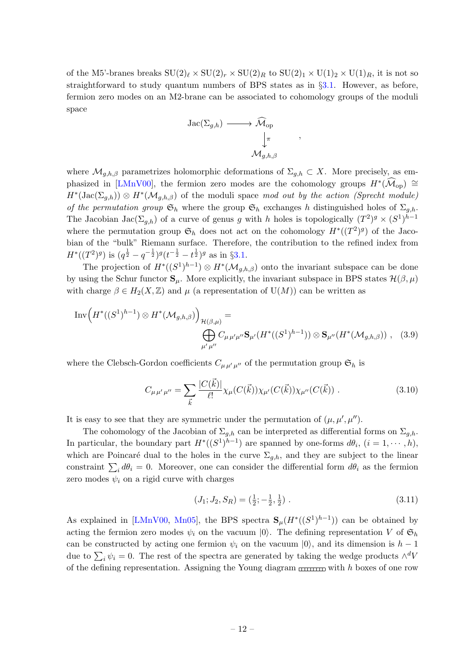of the M5'-branes breaks  $SU(2)_\ell \times SU(2)_r \times SU(2)_R$  to  $SU(2)_1 \times U(1)_2 \times U(1)_R$ , it is not so straightforward to study quantum numbers of BPS states as in §[3.1.](#page-6-0) However, as before, fermion zero modes on an M2-brane can be associated to cohomology groups of the moduli space

<span id="page-12-1"></span>

where  $\mathcal{M}_{g,h,\beta}$  parametrizes holomorphic deformations of  $\Sigma_{g,h} \subset X$ . More precisely, as em-phasized in [\[LMnV00\]](#page-30-2), the fermion zero modes are the cohomology groups  $H^*(\widehat{\mathcal{M}}_{op}) \cong$  $H^*(\text{Jac}(\Sigma_{g,h}))\otimes H^*(\mathcal{M}_{g,h,\beta})$  of the moduli space mod out by the action (Sprecht module) of the permutation group  $\mathfrak{S}_h$  where the group  $\mathfrak{S}_h$  exchanges h distinguished holes of  $\Sigma_{g,h}$ . The Jacobian Jac $(\Sigma_{g,h})$  of a curve of genus g with h holes is topologically  $(T^2)^g \times (S^1)^{h-1}$ where the permutation group  $\mathfrak{S}_h$  does not act on the cohomology  $H^*((T^2)^g)$  of the Jacobian of the "bulk" Riemann surface. Therefore, the contribution to the refined index from  $H^*((T^2)^g)$  is  $(q^{\frac{1}{2}}-q^{-\frac{1}{2}})^g(t^{-\frac{1}{2}}-t^{\frac{1}{2}})^g$  as in §[3.1.](#page-6-0)

The projection of  $H^*((S^1)^{h-1}) \otimes H^*(\mathcal{M}_{g,h,\beta})$  onto the invariant subspace can be done by using the Schur functor  $\mathbf{S}_{\mu}$ . More explicitly, the invariant subspace in BPS states  $\mathcal{H}(\beta,\mu)$ with charge  $\beta \in H_2(X,\mathbb{Z})$  and  $\mu$  (a representation of  $U(M)$ ) can be written as

$$
\text{Inv}\Big(H^*((S^1)^{h-1}) \otimes H^*(\mathcal{M}_{g,h,\beta})\Big)_{\mathcal{H}(\beta,\mu)} = \bigoplus_{\substack{\mu' \mu''}} C_{\mu\mu'\mu''} \mathbf{S}_{\mu'}(H^*((S^1)^{h-1})) \otimes \mathbf{S}_{\mu''}(H^*(\mathcal{M}_{g,h,\beta})) , \quad (3.9)
$$

where the Clebsch-Gordon coefficients  $C_{\mu\mu'\mu''}$  of the permutation group  $\mathfrak{S}_h$  is

$$
C_{\mu\mu'\mu''} = \sum_{\vec{k}} \frac{|C(\vec{k})|}{\ell!} \chi_{\mu}(C(\vec{k})) \chi_{\mu'}(C(\vec{k})) \chi_{\mu''}(C(\vec{k})) . \tag{3.10}
$$

It is easy to see that they are symmetric under the permutation of  $(\mu, \mu', \mu'')$ .

The cohomology of the Jacobian of  $\Sigma_{q,h}$  can be interpreted as differential forms on  $\Sigma_{q,h}$ . In particular, the boundary part  $H^*((S^1)^{h-1})$  are spanned by one-forms  $d\theta_i$ ,  $(i = 1, \dots, h)$ , which are Poincaré dual to the holes in the curve  $\Sigma_{g,h}$ , and they are subject to the linear constraint  $\sum_i d\theta_i = 0$ . Moreover, one can consider the differential form  $d\theta_i$  as the fermion zero modes  $\psi_i$  on a rigid curve with charges

<span id="page-12-2"></span><span id="page-12-0"></span>
$$
(J_1; J_2, S_R) = \left(\frac{1}{2}; -\frac{1}{2}, \frac{1}{2}\right). \tag{3.11}
$$

As explained in [\[LMnV00,](#page-30-2) [Mn05\]](#page-30-12), the BPS spectra  $\mathbf{S}_{\mu}(H^*((S^1)^{h-1}))$  can be obtained by acting the fermion zero modes  $\psi_i$  on the vacuum  $|0\rangle$ . The defining representation V of  $\mathfrak{S}_h$ can be constructed by acting one fermion  $\psi_i$  on the vacuum  $|0\rangle$ , and its dimension is  $h-1$ due to  $\sum_i \psi_i = 0$ . The rest of the spectra are generated by taking the wedge products  $\wedge^d V$ of the defining representation. Assigning the Young diagram  $\frac{1}{2}$  with h boxes of one row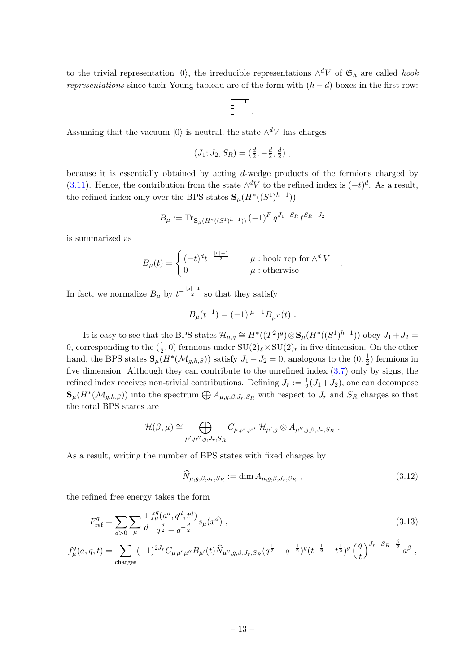to the trivial representation  $|0\rangle$ , the irreducible representations  $\wedge^d V$  of  $\mathfrak{S}_h$  are called hook representations since their Young tableau are of the form with  $(h - d)$ -boxes in the first row:

$$
\Biggl\}^{m \times m}.
$$

Assuming that the vacuum  $|0\rangle$  is neutral, the state  $\wedge^d V$  has charges

$$
(J_1; J_2, S_R) = (\frac{d}{2}; -\frac{d}{2}, \frac{d}{2}),
$$

because it is essentially obtained by acting d-wedge products of the fermions charged by [\(3.11\)](#page-12-0). Hence, the contribution from the state  $\wedge^d V$  to the refined index is  $(-t)^d$ . As a result, the refined index only over the BPS states  $\mathbf{S}_{\mu}(H^*((S^1)^{h-1}))$ 

$$
B_{\mu} := \operatorname{Tr}_{\mathbf{S}_{\mu}(H^*((S^1)^{h-1}))} (-1)^F q^{J_1 - S_R} t^{S_R - J_2}
$$

is summarized as

<span id="page-13-0"></span>
$$
B_{\mu}(t) = \begin{cases} (-t)^{d} t^{-\frac{|\mu|-1}{2}} & \mu : \text{hook for } \wedge^{d} V \\ 0 & \mu : \text{otherwise} \end{cases}
$$

In fact, we normalize  $B_{\mu}$  by  $t^{-\frac{|\mu|-1}{2}}$  so that they satisfy

$$
B_{\mu}(t^{-1}) = (-1)^{|\mu|-1} B_{\mu}r(t) .
$$

It is easy to see that the BPS states  $\mathcal{H}_{\mu,g} \cong H^*((T^2)^g) \otimes \mathbf{S}_{\mu}(H^*((S^1)^{h-1}))$  obey  $J_1 + J_2 =$ 0, corresponding to the  $(\frac{1}{2}, 0)$  fermions under  $SU(2)_{\ell} \times SU(2)_{r}$  in five dimension. On the other hand, the BPS states  $\mathbf{S}_{\mu}(H^*(\mathcal{M}_{g,h,\beta}))$  satisfy  $J_1-J_2=0$ , analogous to the  $(0, \frac{1}{2})$  $(\frac{1}{2})$  fermions in five dimension. Although they can contribute to the unrefined index [\(3.7\)](#page-10-1) only by signs, the refined index receives non-trivial contributions. Defining  $J_r := \frac{1}{2}(J_1 + J_2)$ , one can decompose  $\mathbf{S}_{\mu}(H^*(\mathcal{M}_{g,h,\beta}))$  into the spectrum  $\bigoplus A_{\mu,g,\beta,J_r,S_R}$  with respect to  $J_r$  and  $S_R$  charges so that the total BPS states are

$$
\mathcal{H}(\beta,\mu) \cong \bigoplus_{\mu',\mu'',g,J_r,S_R} C_{\mu,\mu',\mu''} \mathcal{H}_{\mu',g} \otimes A_{\mu'',g,\beta,J_r,S_R}.
$$

As a result, writing the number of BPS states with fixed charges by

<span id="page-13-1"></span>
$$
\widehat{N}_{\mu,g,\beta,J_r,S_R} := \dim A_{\mu,g,\beta,J_r,S_R} \tag{3.12}
$$

.

the refined free energy takes the form

$$
F_{\text{ref}}^{q} = \sum_{d>0} \sum_{\mu} \frac{1}{d} \frac{f_{\mu}^{q}(a^{d}, q^{d}, t^{d})}{q^{\frac{d}{2}} - q^{-\frac{d}{2}}} s_{\mu}(x^{d}), \qquad (3.13)
$$

$$
f_{\mu}^{q}(a,q,t) = \sum_{\text{charges}} (-1)^{2J_r} C_{\mu\,\mu'\,\mu''} B_{\mu'}(t) \widehat{N}_{\mu'',g,\beta,J_r,S_R}(q^{\frac{1}{2}} - q^{-\frac{1}{2}})^{g} (t^{-\frac{1}{2}} - t^{\frac{1}{2}})^{g} \left(\frac{q}{t}\right)^{J_r-S_R-\frac{\beta}{2}} a^{\beta} ,
$$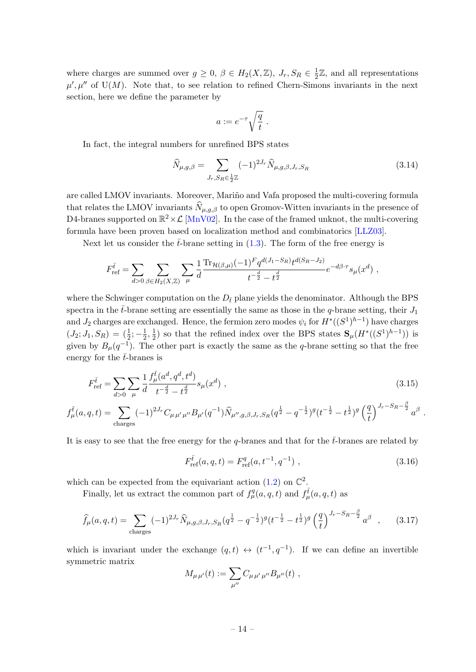where charges are summed over  $g \geq 0$ ,  $\beta \in H_2(X, \mathbb{Z})$ ,  $J_r$ ,  $S_R \in \frac{1}{2}$  $\frac{1}{2}\mathbb{Z}$ , and all representations  $\mu', \mu''$  of U(M). Note that, to see relation to refined Chern-Simons invariants in the next section, here we define the parameter by

$$
a := e^{-\tau} \sqrt{\frac{q}{t}} \; .
$$

In fact, the integral numbers for unrefined BPS states

<span id="page-14-1"></span>
$$
\widehat{N}_{\mu,g,\beta} = \sum_{J_r, S_R \in \frac{1}{2}\mathbb{Z}} (-1)^{2J_r} \widehat{N}_{\mu,g,\beta,J_r,S_R}
$$
\n(3.14)

are called LMOV invariants. Moreover, Mariño and Vafa proposed the multi-covering formula that relates the LMOV invariants  $\widehat{N}_{\mu,q,\beta}$  to open Gromov-Witten invariants in the presence of D4-branes supported on  $\mathbb{R}^2 \times \mathcal{L}$  [\[MnV02\]](#page-31-8). In the case of the framed unknot, the multi-covering formula have been proven based on localization method and combinatorics [\[LLZ03\]](#page-30-14).

Next let us consider the  $\bar{t}$ -brane setting in [\(1.3\)](#page-3-1). The form of the free energy is

$$
F_{\text{ref}}^{\bar{t}} = \sum_{d>0} \sum_{\beta \in H_2(X,\mathbb{Z})} \sum_{\mu} \frac{1}{d} \frac{\text{Tr}_{\mathcal{H}(\beta,\mu)} (-1)^F q^{d(J_1 - S_R)} t^{d(S_R - J_2)}}{t^{-\frac{d}{2}} - t^{\frac{d}{2}}} e^{-d\beta \cdot \tau} s_{\mu}(x^d) ,
$$

where the Schwinger computation on the  $D_{\bar{t}}$  plane yields the denominator. Although the BPS spectra in the  $\bar{t}$ -brane setting are essentially the same as those in the q-brane setting, their  $J_1$ and  $J_2$  charges are exchanged. Hence, the fermion zero modes  $\psi_i$  for  $H^*((S^1)^{h-1})$  have charges  $(J_2; J_1, S_R) = (\frac{1}{2}; -\frac{1}{2})$  $\frac{1}{2}, \frac{1}{2}$  $\frac{1}{2}$ ) so that the refined index over the BPS states  $\mathbf{S}_{\mu}(H^*((S^1)^{h-1}))$  is given by  $B_{\mu}(q^{-1})$ . The other part is exactly the same as the q-brane setting so that the free energy for the  $\bar{t}$ -branes is

$$
F_{\text{ref}}^{\bar{t}} = \sum_{d>0} \sum_{\mu} \frac{1}{d} \frac{f_{\mu}^{\bar{t}}(a^d, q^d, t^d)}{t^{-\frac{d}{2}} - t^{\frac{d}{2}}} s_{\mu}(x^d) , \qquad (3.15)
$$

$$
f^{\bar{t}}_{\mu}(a,q,t) = \sum_{\text{charges}} (-1)^{2J_r} C_{\mu\,\mu'\,\mu''} B_{\mu'}(q^{-1}) \widehat{N}_{\mu'',g,\beta,J_r,S_R}(q^{\frac{1}{2}} - q^{-\frac{1}{2}})^g (t^{-\frac{1}{2}} - t^{\frac{1}{2}})^g \left(\frac{q}{t}\right)^{J_r-S_R-\frac{\beta}{2}} a^{\beta}
$$

It is easy to see that the free energy for the q-branes and that for the  $\bar{t}$ -branes are related by

<span id="page-14-2"></span>
$$
F_{\text{ref}}^{\bar{t}}(a,q,t) = F_{\text{ref}}^q(a,t^{-1},q^{-1}) \tag{3.16}
$$

<span id="page-14-3"></span><span id="page-14-0"></span>.

which can be expected from the equivariant action  $(1.2)$  on  $\mathbb{C}^2$ .

Finally, let us extract the common part of  $f^q_\mu(a,q,t)$  and  $f^{\bar{t}}_\mu(a,q,t)$  as

$$
\widehat{f}_{\mu}(a,q,t) = \sum_{\text{charges}} (-1)^{2J_r} \widehat{N}_{\mu,g,\beta,J_r,S_R}(q^{\frac{1}{2}} - q^{-\frac{1}{2}})^g (t^{-\frac{1}{2}} - t^{\frac{1}{2}})^g \left(\frac{q}{t}\right)^{J_r-S_R-\frac{\beta}{2}} a^{\beta} ,\qquad(3.17)
$$

which is invariant under the exchange  $(q,t) \leftrightarrow (t^{-1}, q^{-1})$ . If we can define an invertible symmetric matrix

$$
M_{\mu\,\mu'}(t) := \sum_{\mu''} C_{\mu\,\mu'\,\mu''} B_{\mu''}(t) ,
$$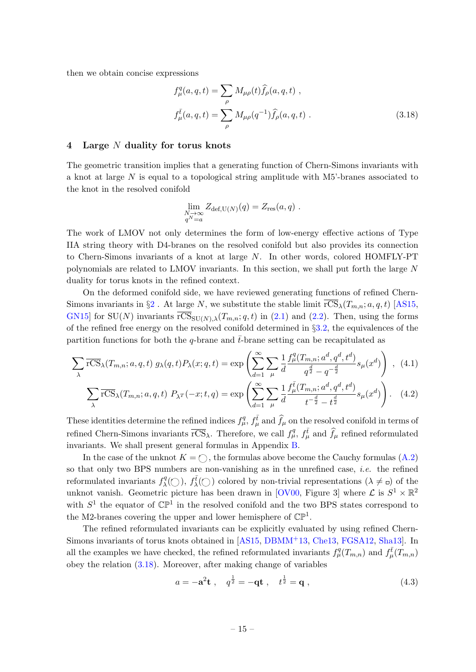then we obtain concise expressions

<span id="page-15-2"></span>
$$
f_{\mu}^{q}(a,q,t) = \sum_{\rho} M_{\mu\rho}(t) \hat{f}_{\rho}(a,q,t) ,
$$
  

$$
f_{\mu}^{\bar{t}}(a,q,t) = \sum_{\rho} M_{\mu\rho}(q^{-1}) \hat{f}_{\rho}(a,q,t) .
$$
 (3.18)

#### <span id="page-15-0"></span>4 Large N duality for torus knots

The geometric transition implies that a generating function of Chern-Simons invariants with a knot at large N is equal to a topological string amplitude with M5'-branes associated to the knot in the resolved conifold

<span id="page-15-4"></span><span id="page-15-3"></span>
$$
\lim_{\substack{N \to \infty \\ q^N = a}} Z_{\text{def},\mathcal{U}(N)}(q) = Z_{\text{res}}(a,q) .
$$

The work of LMOV not only determines the form of low-energy effective actions of Type IIA string theory with D4-branes on the resolved conifold but also provides its connection to Chern-Simons invariants of a knot at large N. In other words, colored HOMFLY-PT polynomials are related to LMOV invariants. In this section, we shall put forth the large N duality for torus knots in the refined context.

On the deformed conifold side, we have reviewed generating functions of refined Chern-Simons invariants in  $\S2$  $\S2$ . At large N, we substitute the stable limit  $\overline{\text{rCS}}_{\lambda}(T_{m,n}; a, q, t)$  [\[AS15,](#page-29-0) [GN15\]](#page-29-5) for SU(N) invariants  $\overline{\text{rCS}}_{\text{SU}(N),\lambda}(T_{m,n};q,t)$  in [\(2.1\)](#page-5-1) and [\(2.2\)](#page-5-2). Then, using the forms of the refined free energy on the resolved conifold determined in §[3.2,](#page-9-0) the equivalences of the partition functions for both the q-brane and  $\bar{t}$ -brane setting can be recapitulated as

$$
\sum_{\lambda} \overline{rCS}_{\lambda}(T_{m,n}; a, q, t) g_{\lambda}(q, t) P_{\lambda}(x; q, t) = \exp\left(\sum_{d=1}^{\infty} \sum_{\mu} \frac{1}{d} \frac{f_{\mu}^q(T_{m,n}; a^d, q^d, t^d)}{q^{\frac{d}{2}} - q^{-\frac{d}{2}}} s_{\mu}(x^d)\right) , (4.1)
$$

$$
\sum_{\lambda} \overline{rCS}_{\lambda}(T_{m,n}; a, q, t) \ P_{\lambda}r(-x; t, q) = \exp\left(\sum_{d=1}^{\infty} \sum_{\mu} \frac{1}{d} \frac{f_{\mu}^{\bar{t}}(T_{m,n}; a^d, q^d, t^d)}{t^{-\frac{d}{2}} - t^{\frac{d}{2}}} s_{\mu}(x^d)\right). \tag{4.2}
$$

These identities determine the refined indices  $f_{\mu}^q$ ,  $f_{\mu}^{\bar{t}}$  and  $\hat{f}_{\mu}$  on the resolved conifold in terms of refined Chern-Simons invariants  $\overline{\text{rCS}}_{\lambda}$ . Therefore, we call  $f^q_{\mu}$ ,  $f^{\bar{t}}_{\mu}$  and  $\hat{f}_{\mu}$  refined reformulated invariants. We shall present general formulas in Appendix [B.](#page-24-0)

In the case of the unknot  $K = \bigcirc$ , the formulas above become the Cauchy formulas [\(A.2\)](#page-23-1) so that only two BPS numbers are non-vanishing as in the unrefined case, *i.e.* the refined reformulated invariants  $f_{\lambda}^q$  $\lambda^q(\bigcirc), f^{\overline{t}}_{\lambda}(\bigcirc)$  colored by non-trivial representations  $(\lambda \neq 0)$  of the unknot vanish. Geometric picture has been drawn in [\[OV00,](#page-31-3) Figure 3] where  $\mathcal{L}$  is  $S^1 \times \mathbb{R}^2$ with  $S^1$  the equator of  $\mathbb{CP}^1$  in the resolved conifold and the two BPS states correspond to the M2-branes covering the upper and lower hemisphere of  $\mathbb{CP}^1$ .

The refined reformulated invariants can be explicitly evaluated by using refined Chern-Simons invariants of torus knots obtained in [\[AS15,](#page-29-0) [DBMM](#page-29-12)<sup>+</sup>13, [Che13,](#page-29-4) [FGSA12,](#page-29-13) [Sha13\]](#page-31-9). In all the examples we have checked, the refined reformulated invariants  $f^q_\mu(T_{m,n})$  and  $f^{\bar t}_{\mu}(T_{m,n})$ obey the relation [\(3.18\)](#page-15-2). Moreover, after making change of variables

<span id="page-15-1"></span>
$$
a = -\mathbf{a}^2 \mathbf{t} , \quad q^{\frac{1}{2}} = -\mathbf{q} \mathbf{t} , \quad t^{\frac{1}{2}} = \mathbf{q} , \tag{4.3}
$$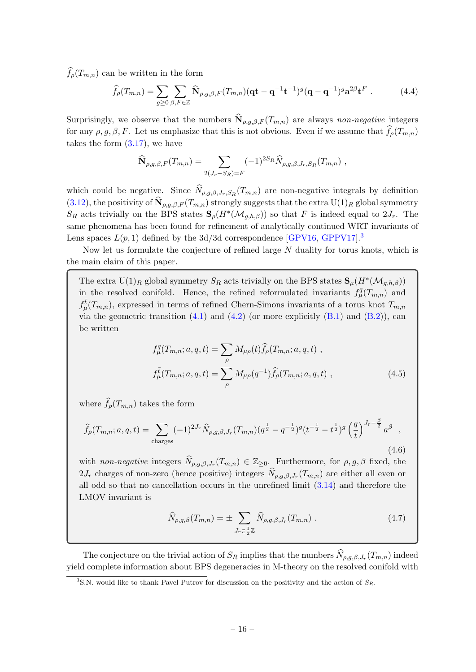$\widehat{f}_{o}(T_{m,n})$  can be written in the form

$$
\widehat{f}_{\rho}(T_{m,n}) = \sum_{g \ge 0} \sum_{\beta, F \in \mathbb{Z}} \widehat{\mathbf{N}}_{\rho,g,\beta,F}(T_{m,n}) (\mathbf{qt} - \mathbf{q}^{-1} \mathbf{t}^{-1})^g (\mathbf{q} - \mathbf{q}^{-1})^g \mathbf{a}^{2\beta} \mathbf{t}^F.
$$
 (4.4)

Surprisingly, we observe that the numbers  $\mathbf{N}_{\rho,g,\beta,F}(T_{m,n})$  are always non-negative integers for any  $\rho, g, \beta, F$ . Let us emphasize that this is not obvious. Even if we assume that  $f_{\rho}(T_{m,n})$ takes the form [\(3.17\)](#page-14-0), we have

<span id="page-16-3"></span>
$$
\widehat{\mathbf{N}}_{\rho,g,\beta,F}(T_{m,n}) = \sum_{2(J_r-S_R)=F} (-1)^{2S_R} \widehat{N}_{\rho,g,\beta,J_r,S_R}(T_{m,n}),
$$

which could be negative. Since  $N_{\rho,g,\beta,J_r,S_R}(T_{m,n})$  are non-negative integrals by definition [\(3.12\)](#page-13-0), the positivity of  $\mathbf{N}_{\rho,g,\beta,F}(T_{m,n})$  strongly suggests that the extra  $\mathrm{U}(1)_R$  global symmetry  $S_R$  acts trivially on the BPS states  $\mathbf{S}_{\rho}(H^*(\mathcal{M}_{g,h,\beta}))$  so that F is indeed equal to  $2J_r$ . The same phenomena has been found for refinement of analytically continued WRT invariants of Lens spaces  $L(p, 1)$  defined by the 3d/3d correspondence [\[GPV16,](#page-30-15) [GPPV17\]](#page-30-16).<sup>[3](#page-16-0)</sup>

Now let us formulate the conjecture of refined large N duality for torus knots, which is the main claim of this paper.

The extra  $U(1)_R$  global symmetry  $S_R$  acts trivially on the BPS states  $\mathbf{S}_{\mu}(H^*(\mathcal{M}_{g,h,\beta}))$ in the resolved conifold. Hence, the refined reformulated invariants  $f^q_\mu(T_{m,n})$  and  $f_{\mu}^{\bar{t}}(T_{m,n})$ , expressed in terms of refined Chern-Simons invariants of a torus knot  $T_{m,n}$ via the geometric transition  $(4.1)$  and  $(4.2)$  (or more explicitly  $(B.1)$  and  $(B.2)$ ), can be written

$$
f_{\mu}^{q}(T_{m,n}; a, q, t) = \sum_{\rho} M_{\mu\rho}(t) \hat{f}_{\rho}(T_{m,n}; a, q, t) ,
$$
  

$$
f_{\mu}^{\bar{t}}(T_{m,n}; a, q, t) = \sum_{\rho} M_{\mu\rho}(q^{-1}) \hat{f}_{\rho}(T_{m,n}; a, q, t) ,
$$
 (4.5)

where  $\widehat{f}_{\rho}(T_{m,n})$  takes the form

<span id="page-16-2"></span>
$$
\widehat{f}_{\rho}(T_{m,n};a,q,t) = \sum_{\text{charges}} (-1)^{2J_r} \widehat{N}_{\rho,g,\beta,J_r}(T_{m,n}) (q^{\frac{1}{2}} - q^{-\frac{1}{2}})^g (t^{-\frac{1}{2}} - t^{\frac{1}{2}})^g \left(\frac{q}{t}\right)^{J_r - \frac{\beta}{2}} a^{\beta} ,\tag{4.6}
$$

with non-negative integers  $\widehat{N}_{\rho,g,\beta,J_r}(T_{m,n}) \in \mathbb{Z}_{\geq 0}$ . Furthermore, for  $\rho, g, \beta$  fixed, the  $2J_r$  charges of non-zero (hence positive) integers  $N_{\rho,g,\beta,J_r}(T_{m,n})$  are either all even or all odd so that no cancellation occurs in the unrefined limit [\(3.14\)](#page-14-1) and therefore the LMOV invariant is

<span id="page-16-1"></span>
$$
\widehat{N}_{\rho,g,\beta}(T_{m,n}) = \pm \sum_{J_r \in \frac{1}{2}\mathbb{Z}} \widehat{N}_{\rho,g,\beta,J_r}(T_{m,n}) . \qquad (4.7)
$$

The conjecture on the trivial action of  $S_R$  implies that the numbers  $N_{\rho,g,\beta,J_r}(T_{m,n})$  indeed yield complete information about BPS degeneracies in M-theory on the resolved conifold with

<span id="page-16-0"></span><sup>&</sup>lt;sup>3</sup>S.N. would like to thank Pavel Putrov for discussion on the positivity and the action of  $S_R$ .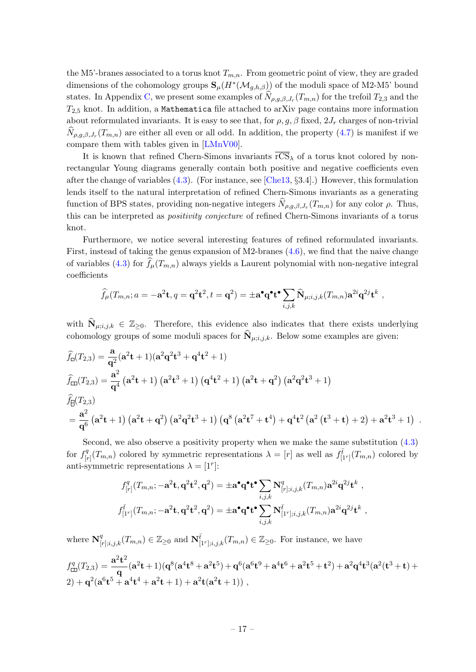the M5'-branes associated to a torus knot  $T_{m,n}$ . From geometric point of view, they are graded dimensions of the cohomology groups  $\mathbf{S}_{\mu}(H^*(\mathcal{M}_{g,h,\beta}))$  of the moduli space of M2-M5' bound states. In Appendix [C,](#page-27-0) we present some examples of  $N_{\rho,g,\beta,J_r}(T_{m,n})$  for the trefoil  $T_{2,3}$  and the  $T_{2.5}$  knot. In addition, a Mathematica file attached to arXiv page contains more information about reformulated invariants. It is easy to see that, for  $\rho$ ,  $g$ ,  $\beta$  fixed,  $2J_r$  charges of non-trivial  $N_{\rho,g,\beta,J_r}(T_{m,n})$  are either all even or all odd. In addition, the property  $(4.7)$  is manifest if we compare them with tables given in [\[LMnV00\]](#page-30-2).

It is known that refined Chern-Simons invariants  $\overline{\text{CS}}_{\lambda}$  of a torus knot colored by nonrectangular Young diagrams generally contain both positive and negative coefficients even after the change of variables [\(4.3\)](#page-15-1). (For instance, see [\[Che13,](#page-29-4) §3.4].) However, this formulation lends itself to the natural interpretation of refined Chern-Simons invariants as a generating function of BPS states, providing non-negative integers  $N_{\rho,g,\beta,J_r}(T_{m,n})$  for any color  $\rho$ . Thus, this can be interpreted as positivity conjecture of refined Chern-Simons invariants of a torus knot.

Furthermore, we notice several interesting features of refined reformulated invariants. First, instead of taking the genus expansion of M2-branes  $(4.6)$ , we find that the naive change of variables [\(4.3\)](#page-15-1) for  $f_{\mu}(T_{m,n})$  always yields a Laurent polynomial with non-negative integral coefficients

$$
\widehat{f}_{\mu}(T_{m,n};a=-\mathbf{a}^2\mathbf{t},q=\mathbf{q}^2\mathbf{t}^2,t=\mathbf{q}^2)=\pm \mathbf{a}^{\bullet}\mathbf{q}^{\bullet}\mathbf{t}^{\bullet}\sum_{i,j,k}\widehat{\mathbf{N}}_{\mu;i,j,k}(T_{m,n})\mathbf{a}^{2i}\mathbf{q}^{2j}\mathbf{t}^k,
$$

with  $\widehat{N}_{\mu;i,j,k} \in \mathbb{Z}_{\geq 0}$ . Therefore, this evidence also indicates that there exists underlying cohomology groups of some moduli spaces for  $N_{\mu;i,j,k}$ . Below some examples are given:

$$
\hat{f}_{\square}(T_{2,3}) = \frac{\mathbf{a}}{\mathbf{q}^{2}} (\mathbf{a}^{2} \mathbf{t} + 1) (\mathbf{a}^{2} \mathbf{q}^{2} \mathbf{t}^{3} + \mathbf{q}^{4} \mathbf{t}^{2} + 1)
$$
\n
$$
\hat{f}_{\square}(T_{2,3}) = \frac{\mathbf{a}^{2}}{\mathbf{q}^{4}} (\mathbf{a}^{2} \mathbf{t} + 1) (\mathbf{a}^{2} \mathbf{t}^{3} + 1) (\mathbf{q}^{4} \mathbf{t}^{2} + 1) (\mathbf{a}^{2} \mathbf{t} + \mathbf{q}^{2}) (\mathbf{a}^{2} \mathbf{q}^{2} \mathbf{t}^{3} + 1)
$$
\n
$$
\hat{f}_{\square}(T_{2,3})
$$
\n
$$
= \frac{\mathbf{a}^{2}}{\mathbf{q}^{6}} (\mathbf{a}^{2} \mathbf{t} + 1) (\mathbf{a}^{2} \mathbf{t} + \mathbf{q}^{2}) (\mathbf{a}^{2} \mathbf{q}^{2} \mathbf{t}^{3} + 1) (\mathbf{q}^{8} (\mathbf{a}^{2} \mathbf{t}^{7} + \mathbf{t}^{4}) + \mathbf{q}^{4} \mathbf{t}^{2} (\mathbf{a}^{2} (\mathbf{t}^{3} + \mathbf{t}) + 2) + \mathbf{a}^{2} \mathbf{t}^{3} + 1) .
$$

Second, we also observe a positivity property when we make the same substitution [\(4.3\)](#page-15-1) for  $f_{\text{b}}^q$  $\int_{[r]}^{q}(T_{m,n})$  colored by symmetric representations  $\lambda = [r]$  as well as  $f_{[1^r]}^{\bar{t}}(T_{m,n})$  colored by anti-symmetric representations  $\lambda = [1^r]$ :

$$
f_{[r]}^q(T_{m,n}; -\mathbf{a}^2 \mathbf{t}, \mathbf{q}^2 \mathbf{t}^2, \mathbf{q}^2) = \pm \mathbf{a}^\bullet \mathbf{q}^\bullet \mathbf{t}^\bullet \sum_{i,j,k} \mathbf{N}_{[r];i,j,k}^q(T_{m,n}) \mathbf{a}^{2i} \mathbf{q}^{2j} \mathbf{t}^k ,
$$
  

$$
f_{[1^r]}^{\bar{t}}(T_{m,n}; -\mathbf{a}^2 \mathbf{t}, \mathbf{q}^2 \mathbf{t}^2, \mathbf{q}^2) = \pm \mathbf{a}^\bullet \mathbf{q}^\bullet \mathbf{t}^\bullet \sum_{i,j,k} \mathbf{N}_{[1^r];i,j,k}^{\bar{t}}(T_{m,n}) \mathbf{a}^{2i} \mathbf{q}^{2j} \mathbf{t}^k ,
$$

where  $\mathbf{N}_{[r];i,j,k}^q(T_{m,n}) \in \mathbb{Z}_{\geq 0}$  and  $\mathbf{N}_{[1^r];i,j,k}^{\overline{t}}(T_{m,n}) \in \mathbb{Z}_{\geq 0}$ . For instance, we have

$$
f_{\square}^q(T_{2,3}) = \frac{\mathbf{a}^2 \mathbf{t}^2}{\mathbf{q}} (\mathbf{a}^2 \mathbf{t} + 1) (\mathbf{q}^8 (\mathbf{a}^4 \mathbf{t}^8 + \mathbf{a}^2 \mathbf{t}^5) + \mathbf{q}^6 (\mathbf{a}^6 \mathbf{t}^9 + \mathbf{a}^4 \mathbf{t}^6 + \mathbf{a}^2 \mathbf{t}^5 + \mathbf{t}^2) + \mathbf{a}^2 \mathbf{q}^4 \mathbf{t}^3 (\mathbf{a}^2 (\mathbf{t}^3 + \mathbf{t}) + 2) + \mathbf{q}^2 (\mathbf{a}^6 \mathbf{t}^5 + \mathbf{a}^4 \mathbf{t}^4 + \mathbf{a}^2 \mathbf{t} + 1) + \mathbf{a}^2 \mathbf{t} (\mathbf{a}^2 \mathbf{t} + 1)),
$$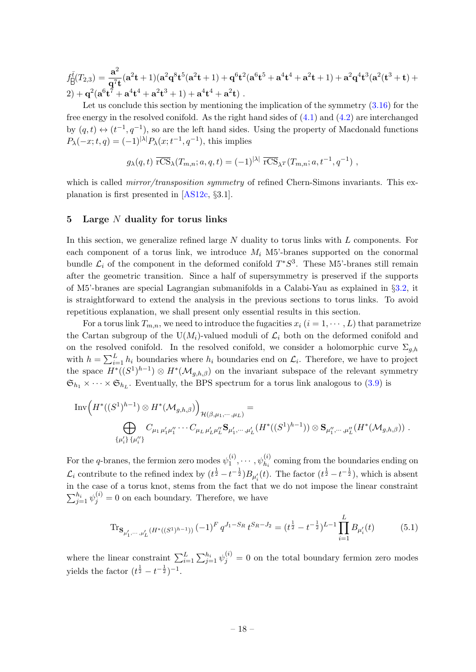$f_{\overline{\Pi}}^{\overline{t}}(T_{2,3}) = \frac{{\bf a}^2}{\sqrt{2}}$  $\frac{a}{q^7t}(a^2t+1)(a^2q^8t^5(a^2t+1)+q^6t^2(a^6t^5+a^4t^4+a^2t+1)+a^2q^4t^3(a^2(t^3+t)+q^3t^4))$  $(2) + \mathbf{q}^2 (\mathbf{a}^6 \mathbf{t}^7 + \mathbf{a}^4 \mathbf{t}^4 + \mathbf{a}^2 \mathbf{t}^3 + 1) + \mathbf{a}^4 \mathbf{t}^4 + \mathbf{a}^2 \mathbf{t}) \;.$ 

Let us conclude this section by mentioning the implication of the symmetry  $(3.16)$  for the free energy in the resolved conifold. As the right hand sides of [\(4.1\)](#page-15-3) and [\(4.2\)](#page-15-4) are interchanged by  $(q, t) \leftrightarrow (t^{-1}, q^{-1})$ , so are the left hand sides. Using the property of Macdonald functions  $P_{\lambda}(-x;t,q) = (-1)^{|\lambda|} P_{\lambda}(x;t^{-1},q^{-1}),$  this implies

$$
g_{\lambda}(q,t) \overline{\text{rCS}}_{\lambda}(T_{m,n};a,q,t) = (-1)^{|\lambda|} \overline{\text{rCS}}_{\lambda}(\Gamma_{m,n};a,t^{-1},q^{-1}),
$$

which is called *mirror/transposition symmetry* of refined Chern-Simons invariants. This explanation is first presented in [\[AS12c,](#page-29-2) §3.1].

#### <span id="page-18-0"></span>5 Large  $N$  duality for torus links

In this section, we generalize refined large  $N$  duality to torus links with  $L$  components. For each component of a torus link, we introduce  $M_i$  M5'-branes supported on the conormal bundle  $\mathcal{L}_i$  of the component in the deformed conifold  $T^*S^3$ . These M5'-branes still remain after the geometric transition. Since a half of supersymmetry is preserved if the supports of M5'-branes are special Lagrangian submanifolds in a Calabi-Yau as explained in §[3.2,](#page-9-0) it is straightforward to extend the analysis in the previous sections to torus links. To avoid repetitious explanation, we shall present only essential results in this section.

For a torus link  $T_{m,n}$ , we need to introduce the fugacities  $x_i$   $(i = 1, \dots, L)$  that parametrize the Cartan subgroup of the U(M<sub>i</sub>)-valued moduli of  $\mathcal{L}_i$  both on the deformed conifold and on the resolved conifold. In the resolved conifold, we consider a holomorphic curve  $\Sigma_{a,h}$ with  $h = \sum_{i=1}^{L} h_i$  boundaries where  $h_i$  boundaries end on  $\mathcal{L}_i$ . Therefore, we have to project the space  $H^*((S^1)^{h-1}) \otimes H^*(\mathcal{M}_{g,h,\beta})$  on the invariant subspace of the relevant symmetry  $\mathfrak{S}_{h_1} \times \cdots \times \mathfrak{S}_{h_L}$ . Eventually, the BPS spectrum for a torus link analogous to [\(3.9\)](#page-12-1) is

$$
\text{Inv}\Big(H^*((S^1)^{h-1})\otimes H^*(\mathcal{M}_{g,h,\beta})\Big)_{\mathcal{H}(\beta,\mu_1,\cdots,\mu_L)}=\\ \bigoplus_{\{\mu'_i\}\,\{\mu''_i\}} C_{\mu_1\,\mu'_1\mu''_1}\cdots C_{\mu_L\,\mu'_L\mu''_L} \mathbf{S}_{\mu'_1,\cdots,\mu'_L}(H^*((S^1)^{h-1}))\otimes \mathbf{S}_{\mu''_1,\cdots,\mu''_L}(H^*(\mathcal{M}_{g,h,\beta}))\ .
$$

For the q-branes, the fermion zero modes  $\psi_1^{(i)}$  $\psi_1^{(i)}, \cdots, \psi_{h_i}^{(i)}$  coming from the boundaries ending on  $\mathcal{L}_i$  contribute to the refined index by  $(t^{\frac{1}{2}}-t^{-\frac{1}{2}})B_{\mu'_i}(t)$ . The factor  $(t^{\frac{1}{2}}-t^{-\frac{1}{2}})$ , which is absent in the case of a torus knot, stems from the fact that we do not impose the linear constraint  $\sum_{j=1}^{h_i} \psi_j^{(i)} = 0$  on each boundary. Therefore, we have

<span id="page-18-1"></span>
$$
\operatorname{Tr}_{\mathbf{S}_{\mu'_1,\cdots,\mu'_L}(H^*((S^1)^{h-1}))} (-1)^F q^{J_1-S_R} t^{S_R-J_2} = (t^{\frac{1}{2}} - t^{-\frac{1}{2}})^{L-1} \prod_{i=1}^L B_{\mu'_i}(t) \tag{5.1}
$$

where the linear constraint  $\sum_{i=1}^{L} \sum_{j=1}^{h_i} \psi_j^{(i)} = 0$  on the total boundary fermion zero modes yields the factor  $(t^{\frac{1}{2}} - t^{-\frac{1}{2}})^{-1}$ .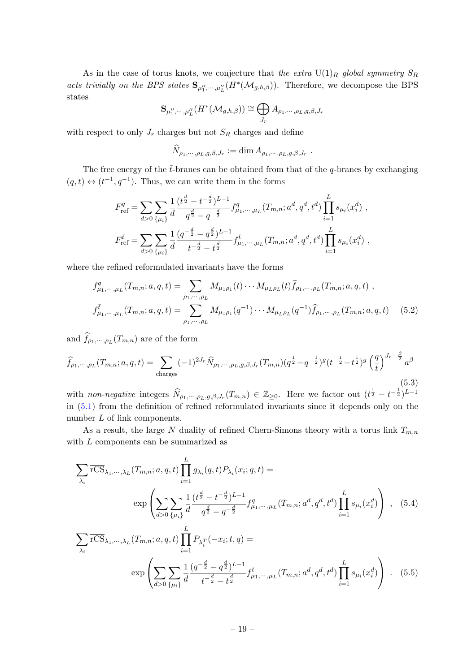As in the case of torus knots, we conjecture that the extra  $U(1)_R$  global symmetry  $S_R$ acts trivially on the BPS states  ${\bf S}_{\mu''_1,\cdots,\mu''_L}(H^*(\mathcal{M}_{g,h,\beta}))$ . Therefore, we decompose the BPS states

$$
\mathbf{S}_{\mu_1^{\prime\prime}, \cdots, \mu_L^{\prime\prime}}(H^*(\mathcal{M}_{g,h,\beta})) \cong \bigoplus_{J_r} A_{\rho_1, \cdots, \rho_L, g, \beta, J_r}
$$

with respect to only  $J_r$  charges but not  $S_R$  charges and define

<span id="page-19-0"></span>
$$
\widehat{N}_{\rho_1,\cdots,\rho_L,g,\beta,J_r} := \dim A_{\rho_1,\cdots,\rho_L,g,\beta,J_r}.
$$

The free energy of the  $\bar{t}$ -branes can be obtained from that of the q-branes by exchanging  $(q, t) \leftrightarrow (t^{-1}, q^{-1})$ . Thus, we can write them in the forms

$$
F_{\text{ref}}^{q} = \sum_{d>0} \sum_{\{\mu_{i}\}} \frac{1}{d} \frac{(t^{\frac{d}{2}} - t^{-\frac{d}{2}})^{L-1}}{q^{\frac{d}{2}} - q^{-\frac{d}{2}}} f_{\mu_{1}, \cdots, \mu_{L}}^{q} (T_{m,n}; a^{d}, q^{d}, t^{d}) \prod_{i=1}^{L} s_{\mu_{i}}(x_{i}^{d}),
$$
  

$$
F_{\text{ref}}^{\bar{t}} = \sum_{d>0} \sum_{\{\mu_{i}\}} \frac{1}{d} \frac{(q^{-\frac{d}{2}} - q^{\frac{d}{2}})^{L-1}}{t^{-\frac{d}{2}} - t^{\frac{d}{2}}} f_{\mu_{1}, \cdots, \mu_{L}}^{\bar{t}}(T_{m,n}; a^{d}, q^{d}, t^{d}) \prod_{i=1}^{L} s_{\mu_{i}}(x_{i}^{d}),
$$

where the refined reformulated invariants have the forms

$$
f_{\mu_1,\dots,\mu_L}^q(T_{m,n};a,q,t) = \sum_{\rho_1,\dots,\rho_L} M_{\mu_1\rho_1}(t)\cdots M_{\mu_L\rho_L}(t) \hat{f}_{\rho_1,\dots,\rho_L}(T_{m,n};a,q,t) ,
$$
  

$$
f_{\mu_1,\dots,\mu_L}^{\bar{t}}(T_{m,n};a,q,t) = \sum_{\rho_1,\dots,\rho_L} M_{\mu_1\rho_1}(q^{-1})\cdots M_{\mu_L\rho_L}(q^{-1}) \hat{f}_{\rho_1,\dots,\rho_L}(T_{m,n};a,q,t) \quad (5.2)
$$

and  $f_{\rho_1,\dots,\rho_L}(T_{m,n})$  are of the form

<span id="page-19-1"></span>
$$
\widehat{f}_{\rho_1,\cdots,\rho_L}(T_{m,n};a,q,t) = \sum_{\text{charges}} (-1)^{2J_r} \widehat{N}_{\rho_1,\cdots,\rho_L,g,\beta,J_r}(T_{m,n}) (q^{\frac{1}{2}} - q^{-\frac{1}{2}})^g (t^{-\frac{1}{2}} - t^{\frac{1}{2}})^g \left(\frac{q}{t}\right)^{J_r - \frac{\beta}{2}} a^{\beta}
$$
\n(5.3)

with non-negative integers  $\widehat{N}_{\rho_1,\dots,\rho_L,g,\beta,J_r}(T_{m,n}) \in \mathbb{Z}_{\geq 0}$ . Here we factor out  $(t^{\frac{1}{2}} - t^{-\frac{1}{2}})^{L-1}$ in [\(5.1\)](#page-18-1) from the definition of refined reformulated invariants since it depends only on the number L of link components.

As a result, the large N duality of refined Chern-Simons theory with a torus link  $T_{m,n}$ with L components can be summarized as

<span id="page-19-3"></span><span id="page-19-2"></span>
$$
\sum_{\lambda_i} \overline{rCS}_{\lambda_1, \dots, \lambda_L} (T_{m,n}; a, q, t) \prod_{i=1}^L g_{\lambda_i}(q, t) P_{\lambda_i}(x_i; q, t) =
$$
\n
$$
\exp \left( \sum_{d>0} \sum_{\{\mu_i\}} \frac{1}{d} \frac{(t^{\frac{d}{2}} - t^{-\frac{d}{2}})^{L-1}}{q^{\frac{d}{2}} - q^{-\frac{d}{2}}} f_{\mu_1, \dots, \mu_L}^q (T_{m,n}; a^d, q^d, t^d) \prod_{i=1}^L s_{\mu_i}(x_i^d) \right), \quad (5.4)
$$
\n
$$
\sum_{\lambda_i} \overline{rCS}_{\lambda_1, \dots, \lambda_L} (T_{m,n}; a, q, t) \prod_{i=1}^L P_{\lambda_i} (T_{m,n}; t, q) =
$$
\n
$$
\exp \left( \sum_{d>0} \sum_{\{\mu_i\}} \frac{1}{d} \frac{(q^{-\frac{d}{2}} - q^{\frac{d}{2}})^{L-1}}{t^{-\frac{d}{2}} - t^{\frac{d}{2}}} f_{\mu_1, \dots, \mu_L}^{\bar{t}} (T_{m,n}; a^d, q^d, t^d) \prod_{i=1}^L s_{\mu_i}(x_i^d) \right) . \quad (5.5)
$$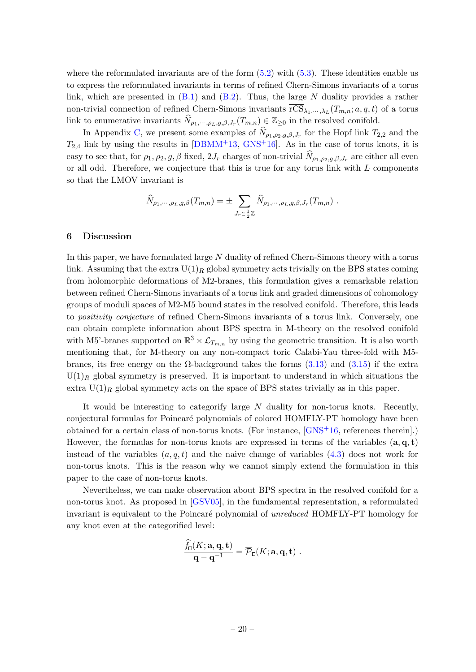where the reformulated invariants are of the form  $(5.2)$  with  $(5.3)$ . These identities enable us to express the reformulated invariants in terms of refined Chern-Simons invariants of a torus link, which are presented in  $(B.1)$  and  $(B.2)$ . Thus, the large N duality provides a rather non-trivial connection of refined Chern-Simons invariants  $\text{rCS}_{\lambda_1,\dots,\lambda_L}(T_{m,n}; a, q, t)$  of a torus link to enumerative invariants  $\widehat{N}_{\rho_1,\cdots,\rho_L,g,\beta,J_r}(T_{m,n}) \in \mathbb{Z}_{\geq 0}$  in the resolved conifold.

In Appendix [C,](#page-27-0) we present some examples of  $N_{\rho_1,\rho_2,g,\beta,J_r}$  for the Hopf link  $T_{2,2}$  and the  $T_{2,4}$  link by using the results in  $[DBMM^+13, GNS^+16]$  $[DBMM^+13, GNS^+16]$  $[DBMM^+13, GNS^+16]$ . As in the case of torus knots, it is easy to see that, for  $\rho_1, \rho_2, g, \beta$  fixed,  $2J_r$  charges of non-trivial  $N_{\rho_1,\rho_2,g,\beta,J_r}$  are either all even or all odd. Therefore, we conjecture that this is true for any torus link with  $L$  components so that the LMOV invariant is

$$
\widehat{N}_{\rho_1,\cdots,\rho_L,g,\beta}(T_{m,n}) = \pm \sum_{J_r \in \frac{1}{2}\mathbb{Z}} \widehat{N}_{\rho_1,\cdots,\rho_L,g,\beta,J_r}(T_{m,n}) \ .
$$

#### <span id="page-20-0"></span>6 Discussion

In this paper, we have formulated large N duality of refined Chern-Simons theory with a torus link. Assuming that the extra  $U(1)_R$  global symmetry acts trivially on the BPS states coming from holomorphic deformations of M2-branes, this formulation gives a remarkable relation between refined Chern-Simons invariants of a torus link and graded dimensions of cohomology groups of moduli spaces of M2-M5 bound states in the resolved conifold. Therefore, this leads to positivity conjecture of refined Chern-Simons invariants of a torus link. Conversely, one can obtain complete information about BPS spectra in M-theory on the resolved conifold with M5'-branes supported on  $\mathbb{R}^3 \times \mathcal{L}_{T_{m,n}}$  by using the geometric transition. It is also worth mentioning that, for M-theory on any non-compact toric Calabi-Yau three-fold with M5 branes, its free energy on the Ω-background takes the forms  $(3.13)$  and  $(3.15)$  if the extra  $U(1)_R$  global symmetry is preserved. It is important to understand in which situations the extra  $U(1)_R$  global symmetry acts on the space of BPS states trivially as in this paper.

It would be interesting to categorify large N duality for non-torus knots. Recently, conjectural formulas for Poincaré polynomials of colored HOMFLY-PT homology have been obtained for a certain class of non-torus knots. (For instance,  $\text{GNS}^{+16}$ , references therein.) However, the formulas for non-torus knots are expressed in terms of the variables  $(a, q, t)$ instead of the variables  $(a, q, t)$  and the naive change of variables  $(4.3)$  does not work for non-torus knots. This is the reason why we cannot simply extend the formulation in this paper to the case of non-torus knots.

Nevertheless, we can make observation about BPS spectra in the resolved conifold for a non-torus knot. As proposed in [\[GSV05\]](#page-30-7), in the fundamental representation, a reformulated invariant is equivalent to the Poincaré polynomial of *unreduced* HOMFLY-PT homology for any knot even at the categorified level:

$$
\frac{\widehat{f}_\square(K;\mathbf{a},\mathbf{q},\mathbf{t})}{\mathbf{q}-\mathbf{q}^{-1}}=\overline{\mathcal{P}}_\square(K;\mathbf{a},\mathbf{q},\mathbf{t})\,\,.
$$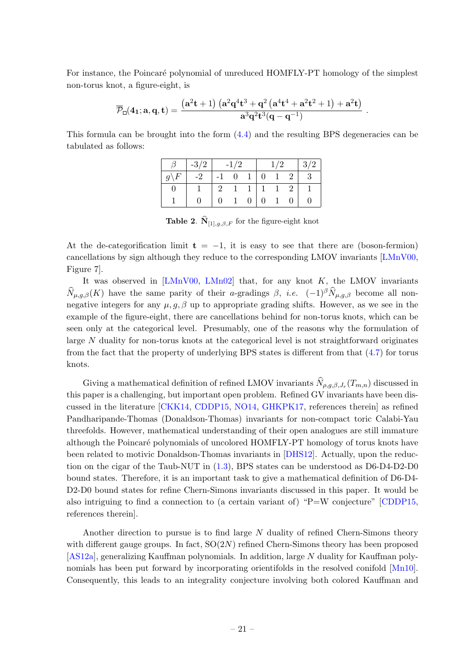For instance, the Poincaré polynomial of unreduced HOMFLY-PT homology of the simplest non-torus knot, a figure-eight, is

$$
\overline{\mathcal{P}}_{\Box}(\mathbf{4}_{1};\mathbf{a},\mathbf{q},t)=\frac{\left(\mathbf{a}^2t+1\right)\left(\mathbf{a}^2\mathbf{q}^4t^3+\mathbf{q}^2\left(\mathbf{a}^4t^4+\mathbf{a}^2t^2+1\right)+\mathbf{a}^2t\right)}{\mathbf{a}^3\mathbf{q}^2t^3(\mathbf{q}-\mathbf{q}^{-1})}
$$

.

This formula can be brought into the form  $(4.4)$  and the resulting BPS degeneracies can be tabulated as follows:

|                 | $-3/2$ |                | $-1/2$       |                    | 1/2 |                         | $\mid 3/2$                |
|-----------------|--------|----------------|--------------|--------------------|-----|-------------------------|---------------------------|
| $q\backslash F$ | $-2$   | $-1$ 0 1 0 1 2 |              |                    |     |                         | $\overline{\phantom{a}3}$ |
|                 |        |                |              |                    |     | $2 \t1 \t1 \t1 \t1 \t2$ |                           |
|                 | U      |                | $\mathbf{1}$ | $0 \mid 0 \quad 1$ |     |                         |                           |

**Table 2.**  $N_{[1],g,\beta,F}$  for the figure-eight knot

At the de-categorification limit  $t = -1$ , it is easy to see that there are (boson-fermion) cancellations by sign although they reduce to the corresponding LMOV invariants [\[LMnV00,](#page-30-2) Figure 7].

It was observed in  $[LMnV00, LMn02]$  $[LMnV00, LMn02]$  that, for any knot K, the LMOV invariants  $\widehat{N}_{\mu,q,\beta}(K)$  have the same parity of their a-gradings  $\beta$ , *i.e.*  $(-1)^{\beta} \widehat{N}_{\mu,q,\beta}$  become all nonnegative integers for any  $\mu$ ,  $g$ ,  $\beta$  up to appropriate grading shifts. However, as we see in the example of the figure-eight, there are cancellations behind for non-torus knots, which can be seen only at the categorical level. Presumably, one of the reasons why the formulation of large N duality for non-torus knots at the categorical level is not straightforward originates from the fact that the property of underlying BPS states is different from that [\(4.7\)](#page-16-1) for torus knots.

Giving a mathematical definition of refined LMOV invariants  $N_{\rho,g,\beta,J_r}(T_{m,n})$  discussed in this paper is a challenging, but important open problem. Refined GV invariants have been discussed in the literature [\[CKK14,](#page-29-8) [CDDP15,](#page-29-9) [NO14,](#page-31-7) [GHKPK17,](#page-29-10) references therein] as refined Pandharipande-Thomas (Donaldson-Thomas) invariants for non-compact toric Calabi-Yau threefolds. However, mathematical understanding of their open analogues are still immature although the Poincaré polynomials of uncolored HOMFLY-PT homology of torus knots have been related to motivic Donaldson-Thomas invariants in [\[DHS12\]](#page-29-14). Actually, upon the reduction on the cigar of the Taub-NUT in [\(1.3\)](#page-3-1), BPS states can be understood as D6-D4-D2-D0 bound states. Therefore, it is an important task to give a mathematical definition of D6-D4- D2-D0 bound states for refine Chern-Simons invariants discussed in this paper. It would be also intriguing to find a connection to (a certain variant of) "P=W conjecture" [\[CDDP15,](#page-29-9) references therein].

Another direction to pursue is to find large N duality of refined Chern-Simons theory with different gauge groups. In fact,  $SO(2N)$  refined Chern-Simons theory has been proposed [\[AS12a\]](#page-29-15), generalizing Kauffman polynomials. In addition, large N duality for Kauffman polynomials has been put forward by incorporating orientifolds in the resolved conifold [\[Mn10\]](#page-30-18). Consequently, this leads to an integrality conjecture involving both colored Kauffman and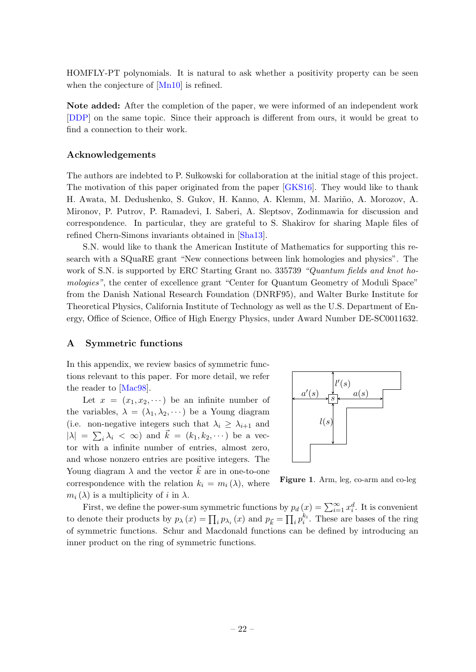HOMFLY-PT polynomials. It is natural to ask whether a positivity property can be seen when the conjecture of [\[Mn10\]](#page-30-18) is refined.

Note added: After the completion of the paper, we were informed of an independent work [\[DDP\]](#page-29-16) on the same topic. Since their approach is different from ours, it would be great to find a connection to their work.

#### Acknowledgements

The authors are indebted to P. Sulkowski for collaboration at the initial stage of this project. The motivation of this paper originated from the paper [\[GKS16\]](#page-29-17). They would like to thank H. Awata, M. Dedushenko, S. Gukov, H. Kanno, A. Klemm, M. Mariño, A. Morozov, A. Mironov, P. Putrov, P. Ramadevi, I. Saberi, A. Sleptsov, Zodinmawia for discussion and correspondence. In particular, they are grateful to S. Shakirov for sharing Maple files of refined Chern-Simons invariants obtained in [\[Sha13\]](#page-31-9).

S.N. would like to thank the American Institute of Mathematics for supporting this research with a SQuaRE grant "New connections between link homologies and physics". The work of S.N. is supported by ERC Starting Grant no. 335739 "Quantum fields and knot homologies", the center of excellence grant "Center for Quantum Geometry of Moduli Space" from the Danish National Research Foundation (DNRF95), and Walter Burke Institute for Theoretical Physics, California Institute of Technology as well as the U.S. Department of Energy, Office of Science, Office of High Energy Physics, under Award Number DE-SC0011632.

#### <span id="page-22-0"></span>A Symmetric functions

In this appendix, we review basics of symmetric functions relevant to this paper. For more detail, we refer the reader to [\[Mac98\]](#page-30-19).

Let  $x = (x_1, x_2, \dots)$  be an infinite number of the variables,  $\lambda = (\lambda_1, \lambda_2, \cdots)$  be a Young diagram (i.e. non-negative integers such that  $\lambda_i \geq \lambda_{i+1}$  and  $|\lambda| = \sum_i \lambda_i < \infty$ ) and  $\vec{k} = (k_1, k_2, \dots)$  be a vector with a infinite number of entries, almost zero, and whose nonzero entries are positive integers. The Young diagram  $\lambda$  and the vector  $\vec{k}$  are in one-to-one correspondence with the relation  $k_i = m_i(\lambda)$ , where  $m_i(\lambda)$  is a multiplicity of i in  $\lambda$ .



<span id="page-22-1"></span>Figure 1. Arm, leg, co-arm and co-leg

First, we define the power-sum symmetric functions by  $p_d(x) = \sum_{i=1}^{\infty} x_i^d$ . It is convenient to denote their products by  $p_{\lambda}(x) = \prod_i p_{\lambda_i}(x)$  and  $p_{\vec{k}} = \prod_i p_i^{k_i}$ . These are bases of the ring of symmetric functions. Schur and Macdonald functions can be defined by introducing an inner product on the ring of symmetric functions.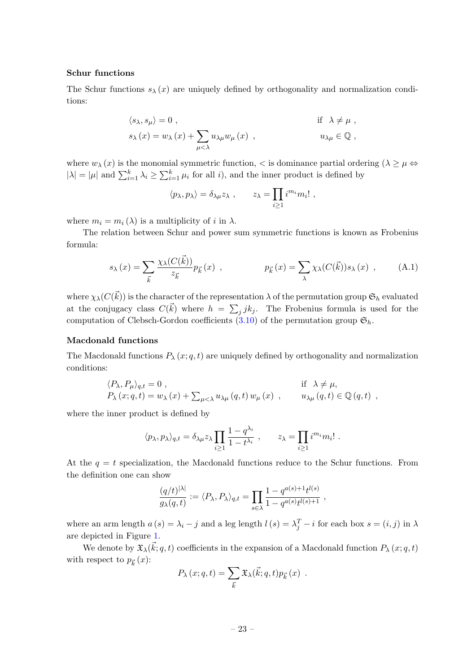#### Schur functions

The Schur functions  $s_{\lambda}(x)$  are uniquely defined by orthogonality and normalization conditions:

$$
\langle s_{\lambda}, s_{\mu} \rangle = 0 , \qquad \text{if } \lambda \neq \mu ,
$$
  

$$
s_{\lambda}(x) = w_{\lambda}(x) + \sum_{\mu < \lambda} u_{\lambda \mu} w_{\mu}(x) , \qquad u_{\lambda \mu} \in \mathbb{Q} ,
$$

where  $w_{\lambda}(x)$  is the monomial symmetric function,  $\langle$  is dominance partial ordering  $(\lambda \geq \mu \Leftrightarrow$  $|\lambda| = |\mu|$  and  $\sum_{i=1}^k \lambda_i \ge \sum_{i=1}^k \mu_i$  for all *i*), and the inner product is defined by

<span id="page-23-0"></span>
$$
\langle p_\lambda, p_\lambda \rangle = \delta_{\lambda \mu} z_\lambda , \qquad z_\lambda = \prod_{i \geq 1} i^{m_i} m_i! ,
$$

where  $m_i = m_i(\lambda)$  is a multiplicity of i in  $\lambda$ .

The relation between Schur and power sum symmetric functions is known as Frobenius formula:

$$
s_{\lambda}(x) = \sum_{\vec{k}} \frac{\chi_{\lambda}(C(\vec{k}))}{z_{\vec{k}}} p_{\vec{k}}(x) , \qquad p_{\vec{k}}(x) = \sum_{\lambda} \chi_{\lambda}(C(\vec{k})) s_{\lambda}(x) , \qquad (A.1)
$$

where  $\chi_\lambda(C(\vec{k}))$  is the character of the representation  $\lambda$  of the permutation group  $\mathfrak{S}_h$  evaluated at the conjugacy class  $C(\vec{k})$  where  $h = \sum_j j k_j$ . The Frobenius formula is used for the computation of Clebsch-Gordon coefficients [\(3.10\)](#page-12-2) of the permutation group  $\mathfrak{S}_h$ .

#### Macdonald functions

The Macdonald functions  $P_{\lambda}(x; q, t)$  are uniquely defined by orthogonality and normalization conditions:

<span id="page-23-1"></span>
$$
\langle P_{\lambda}, P_{\mu} \rangle_{q,t} = 0 ,
$$
  
\n
$$
P_{\lambda}(x; q, t) = w_{\lambda}(x) + \sum_{\mu < \lambda} u_{\lambda \mu}(q, t) w_{\mu}(x) ,
$$
  
\nif  $\lambda \neq \mu$ ,  
\n
$$
u_{\lambda \mu}(q, t) \in \mathbb{Q}(q, t) ,
$$

where the inner product is defined by

$$
\langle p_\lambda, p_\lambda \rangle_{q,t} = \delta_{\lambda\mu} z_\lambda \prod_{i \ge 1} \frac{1 - q^{\lambda_i}}{1 - t^{\lambda_i}}, \qquad z_\lambda = \prod_{i \ge 1} i^{m_i} m_i!.
$$

At the  $q = t$  specialization, the Macdonald functions reduce to the Schur functions. From the definition one can show

$$
\frac{(q/t)^{|\lambda|}}{g_{\lambda}(q,t)} := \langle P_{\lambda}, P_{\lambda} \rangle_{q,t} = \prod_{s \in \lambda} \frac{1 - q^{a(s)+1} t^{l(s)}}{1 - q^{a(s)} t^{l(s)+1}},
$$

where an arm length  $a(s) = \lambda_i - j$  and a leg length  $l(s) = \lambda_i^T - i$  for each box  $s = (i, j)$  in  $\lambda$ are depicted in Figure [1.](#page-22-1)

We denote by  $\mathfrak{X}_{\lambda}(\vec{k};q,t)$  coefficients in the expansion of a Macdonald function  $P_{\lambda}(x;q,t)$ with respect to  $p_{\vec{k}}(x)$ :

$$
P_{\lambda}(x;q,t) = \sum_{\vec{k}} \mathfrak{X}_{\lambda}(\vec{k};q,t) p_{\vec{k}}(x) .
$$

– 23 –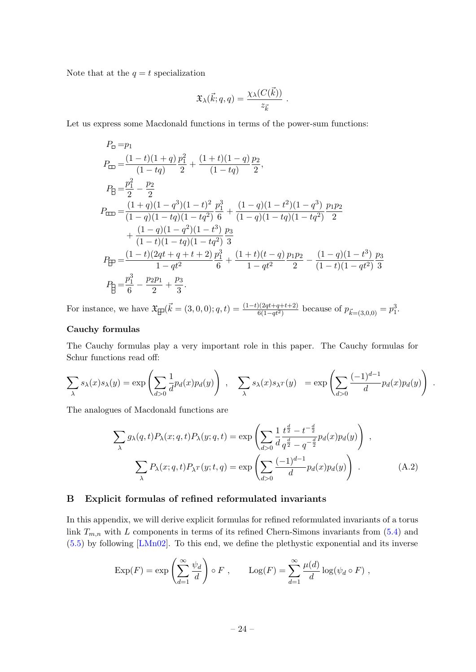Note that at the  $q = t$  specialization

$$
\mathfrak{X}_{\lambda}(\vec{k};q,q) = \frac{\chi_{\lambda}(C(\vec{k}))}{z_{\vec{k}}}.
$$

Let us express some Macdonald functions in terms of the power-sum functions:

$$
P_{\Box} = p_1
$$
  
\n
$$
P_{\Box} = \frac{(1-t)(1+q)}{(1-tq)} \frac{p_1^2}{2} + \frac{(1+t)(1-q)}{(1-tq)} \frac{p_2}{2},
$$
  
\n
$$
P_{\Box} = \frac{p_1^2}{2} - \frac{p_2}{2}
$$
  
\n
$$
P_{\Box\Box} = \frac{(1+q)(1-q^3)(1-t)^2}{(1-q)(1-tq)(1-tq^2)} \frac{p_1^3}{6} + \frac{(1-q)(1-t^2)(1-q^3)}{(1-q)(1-tq)(1-tq^2)} \frac{p_1p_2}{2}
$$
  
\n
$$
+ \frac{(1-q)(1-q^2)(1-t^3)}{(1-t)(1-tq)(1-tq^2)} \frac{p_3}{3}
$$
  
\n
$$
P_{\Box\Box} = \frac{(1-t)(2qt+q+t+2)}{1-qt^2} \frac{p_1^3}{6} + \frac{(1+t)(t-q)}{1-qt^2} \frac{p_1p_2}{2} - \frac{(1-q)(1-t^3)}{(1-t)(1-qt^2)} \frac{p_3}{3}
$$
  
\n
$$
P_{\Box} = \frac{p_1^3}{6} - \frac{p_2p_1}{2} + \frac{p_3}{3}.
$$

For instance, we have  $\mathfrak{X}_{\Box}(\vec{k} = (3,0,0);q,t) = \frac{(1-t)(2qt+q+t+2)}{6(1-qt^2)}$  because of  $p_{\vec{k}=(3,0,0)} = p_1^3$ .

## Cauchy formulas

The Cauchy formulas play a very important role in this paper. The Cauchy formulas for Schur functions read off:

$$
\sum_{\lambda} s_{\lambda}(x) s_{\lambda}(y) = \exp \left( \sum_{d>0} \frac{1}{d} p_d(x) p_d(y) \right) , \quad \sum_{\lambda} s_{\lambda}(x) s_{\lambda} (y) = \exp \left( \sum_{d>0} \frac{(-1)^{d-1}}{d} p_d(x) p_d(y) \right) .
$$

The analogues of Macdonald functions are

$$
\sum_{\lambda} g_{\lambda}(q,t) P_{\lambda}(x;q,t) P_{\lambda}(y;q,t) = \exp\left(\sum_{d>0} \frac{1}{d} \frac{t^{\frac{d}{2}} - t^{-\frac{d}{2}}}{q^{\frac{d}{2}} - q^{-\frac{d}{2}}} p_d(x) p_d(y)\right) ,
$$

$$
\sum_{\lambda} P_{\lambda}(x;q,t) P_{\lambda^T}(y;t,q) = \exp\left(\sum_{d>0} \frac{(-1)^{d-1}}{d} p_d(x) p_d(y)\right) .
$$
(A.2)

#### <span id="page-24-0"></span>B Explicit formulas of refined reformulated invariants

In this appendix, we will derive explicit formulas for refined reformulated invariants of a torus link  $T_{m,n}$  with L components in terms of its refined Chern-Simons invariants from  $(5.4)$  and [\(5.5\)](#page-19-3) by following [\[LMn02\]](#page-30-3). To this end, we define the plethystic exponential and its inverse

$$
\operatorname{Exp}(F) = \exp\left(\sum_{d=1}^{\infty} \frac{\psi_d}{d}\right) \circ F , \qquad \operatorname{Log}(F) = \sum_{d=1}^{\infty} \frac{\mu(d)}{d} \log(\psi_d \circ F) ,
$$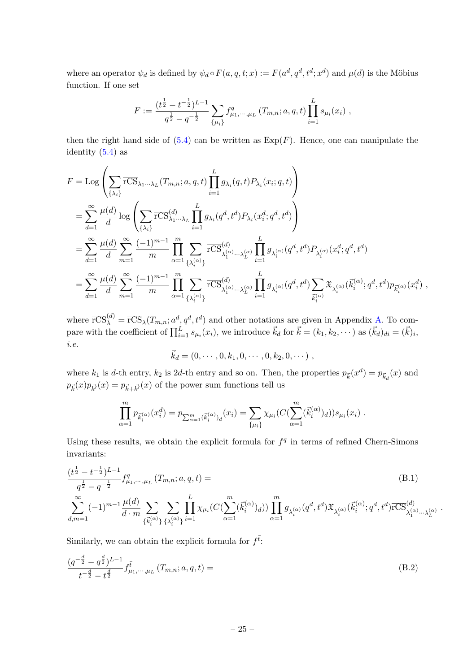where an operator  $\psi_d$  is defined by  $\psi_d \circ F(a, q, t; x) := F(a^d, q^d, t^d; x^d)$  and  $\mu(d)$  is the Möbius function. If one set

$$
F := \frac{(t^{\frac{1}{2}} - t^{-\frac{1}{2}})^{L-1}}{q^{\frac{1}{2}} - q^{-\frac{1}{2}}} \sum_{\{\mu_i\}} f_{\mu_1,\cdots,\mu_L}^q(T_{m,n}; a, q, t) \prod_{i=1}^L s_{\mu_i}(x_i) ,
$$

then the right hand side of  $(5.4)$  can be written as  $\text{Exp}(F)$ . Hence, one can manipulate the identity  $(5.4)$  as

$$
F = \text{Log}\left(\sum_{\{\lambda_i\}} \overline{\text{rCS}}_{\lambda_1 \cdots \lambda_L}(T_{m,n}; a, q, t) \prod_{i=1}^L g_{\lambda_i}(q, t) P_{\lambda_i}(x_i; q, t)\right)
$$
  
\n
$$
= \sum_{d=1}^{\infty} \frac{\mu(d)}{d} \log \left(\sum_{\{\lambda_i\}} \overline{\text{rCS}}_{\lambda_1 \cdots \lambda_L}^{(d)} \prod_{i=1}^L g_{\lambda_i}(q^d, t^d) P_{\lambda_i}(x_i^d; q^d, t^d)\right)
$$
  
\n
$$
= \sum_{d=1}^{\infty} \frac{\mu(d)}{d} \sum_{m=1}^{\infty} \frac{(-1)^{m-1}}{m} \prod_{\alpha=1}^m \sum_{\{\lambda_i^{(\alpha)}\}} \overline{\text{rCS}}_{\lambda_1^{(\alpha)} \cdots \lambda_L^{(\alpha)}}^{(d)} \prod_{i=1}^L g_{\lambda_i^{(\alpha)}}(q^d, t^d) P_{\lambda_i^{(\alpha)}}(x_i^d; q^d, t^d)
$$
  
\n
$$
= \sum_{d=1}^{\infty} \frac{\mu(d)}{d} \sum_{m=1}^{\infty} \frac{(-1)^{m-1}}{m} \prod_{\alpha=1}^m \sum_{\{\lambda_i^{(\alpha)}\}} \overline{\text{rCS}}_{\lambda_1^{(\alpha)} \cdots \lambda_L^{(\alpha)}}^{(d)} \prod_{i=1}^L g_{\lambda_i^{(\alpha)}}(q^d, t^d) \sum_{\vec{k}_i^{(\alpha)}} \mathfrak{X}_{\lambda_i^{(\alpha)}}(\vec{k}_i^{(\alpha)}; q^d, t^d) p_{\vec{k}_i^{(\alpha)}}(x_i^d) ,
$$

where  $\overline{\text{rCS}}_{\lambda}^{(d)} = \overline{\text{rCS}}_{\lambda}(T_{m,n}; a^d, q^d, t^d)$  and other notations are given in Appendix [A.](#page-22-0) To compare with the coefficient of  $\prod_{i=1}^{L} s_{\mu_i}(x_i)$ , we introduce  $\vec{k}_d$  for  $\vec{k} = (k_1, k_2, \dots)$  as  $(\vec{k}_d)_{di} = (\vec{k})_i$ , i.e.

$$
\vec{k}_d = (0, \cdots, 0, k_1, 0, \cdots, 0, k_2, 0, \cdots),
$$

where  $k_1$  is d-th entry,  $k_2$  is 2d-th entry and so on. Then, the properties  $p_{\vec{k}}(x^d) = p_{\vec{k}_d}(x)$  and  $p_{\vec{k}}(x)p_{\vec{k'}}(x) = p_{\vec{k}+\vec{k'}}(x)$  of the power sum functions tell us

$$
\prod_{\alpha=1}^m p_{\vec{k}_i^{(\alpha)}}(x_i^d) = p_{\sum_{\alpha=1}^m (\vec{k}_i^{(\alpha)})_d}(x_i) = \sum_{\{\mu_i\}} \chi_{\mu_i}(C(\sum_{\alpha=1}^m (\vec{k}_i^{(\alpha)})_d)) s_{\mu_i}(x_i) .
$$

Using these results, we obtain the explicit formula for  $f<sup>q</sup>$  in terms of refined Chern-Simons invariants:

$$
\frac{(t^{\frac{1}{2}} - t^{-\frac{1}{2}})^{L-1}}{q^{\frac{1}{2}} - q^{-\frac{1}{2}}} f^q_{\mu_1, \cdots, \mu_L} (T_{m,n}; a, q, t) =
$$
\n
$$
\sum_{d,m=1}^{\infty} (-1)^{m-1} \frac{\mu(d)}{d \cdot m} \sum_{\{\vec{k}_i^{(\alpha)}\}} \sum_{\{\lambda_i^{(\alpha)}\}} \prod_{i=1}^L \chi_{\mu_i} (C(\sum_{\alpha=1}^m (\vec{k}_i^{(\alpha)})_d)) \prod_{\alpha=1}^m g_{\lambda_i^{(\alpha)}}(q^d, t^d) \mathfrak{X}_{\lambda_i^{(\alpha)}}(\vec{k}_i^{(\alpha)}; q^d, t^d) \overline{\text{rCS}}_{\lambda_1^{(\alpha)} \cdots \lambda_L^{(\alpha)}}
$$
\n(B.1)

<span id="page-25-1"></span><span id="page-25-0"></span>.

Similarly, we can obtain the explicit formula for  $f^{\bar{t}}$ :

$$
\frac{(q^{-\frac{d}{2}} - q^{\frac{d}{2}})^{L-1}}{t^{-\frac{d}{2}} - t^{\frac{d}{2}}} f^{\bar{t}}_{\mu_1, \cdots, \mu_L} (T_{m,n}; a, q, t) =
$$
\n(B.2)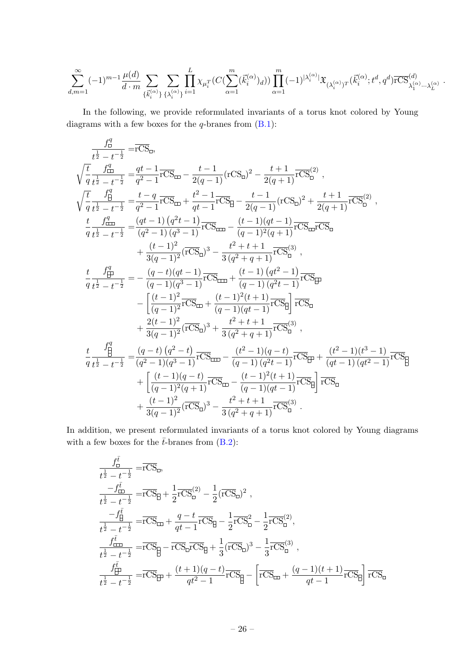$$
\sum_{d,m=1}^{\infty}(-1)^{m-1}\frac{\mu(d)}{d\cdot m}\sum_{\{\vec{k}_{i}^{(\alpha)}\}}\sum_{\{\lambda_{i}^{(\alpha)}\}}\prod_{i=1}^{L}\chi_{\mu_{i}^{T}}(C(\sum_{\alpha=1}^{m}(\vec{k}_{i}^{(\alpha)})_{d}))\prod_{\alpha=1}^{m}(-1)^{|\lambda_{i}^{(\alpha)}|}\mathfrak{X}_{(\lambda_{i}^{(\alpha)})^{T}}(\vec{k}_{i}^{(\alpha)};t^{d},q^{d})\overline{\text{rCS}}_{\lambda_{1}^{(\alpha)}\cdots\lambda_{L}^{(\alpha)}}^{(d)}\;.
$$

In the following, we provide reformulated invariants of a torus knot colored by Young diagrams with a few boxes for the  $q$ -branes from  $(B.1)$ :

$$
\frac{f_0^q}{t^{\frac{1}{2}} - t^{-\frac{1}{2}}} = r\overline{CS}_0,
$$
\n
$$
\sqrt{\frac{t}{q}} \frac{f_0^q}{t^{\frac{1}{2}} - t^{-\frac{1}{2}}} = \frac{qt - 1}{q^2 - 1} r\overline{CS}_{m} - \frac{t - 1}{2(q - 1)} (rCS_0)^2 - \frac{t + 1}{2(q + 1)} r\overline{CS}_0^{(2)},
$$
\n
$$
\sqrt{\frac{t}{q}} \frac{f_0^q}{t^{\frac{1}{2}} - t^{-\frac{1}{2}}} = \frac{t - q}{q^2 - 1} r\overline{CS}_{m} + \frac{t^2 - 1}{qt - 1} r\overline{CS}_{m} - \frac{t - 1}{2(q - 1)} (rCS_0)^2 + \frac{t + 1}{2(q + 1)} r\overline{CS}_0^{(2)},
$$
\n
$$
\frac{t}{q} \frac{f_0^q}{t^{\frac{1}{2}} - t^{-\frac{1}{2}}} = \frac{(qt - 1) (q^2t - 1)}{(q^2 - 1) (q^3 - 1)} r\overline{CS}_{m} - \frac{(t - 1)(qt - 1)}{(q - 1)^2(q + 1)} r\overline{CS}_{m} \overline{CS}_{0}
$$
\n
$$
+ \frac{(t - 1)^2}{3(q - 1)^2} (r\overline{CS}_0)^3 - \frac{t^2 + t + 1}{3(q^2 + q + 1)} r\overline{CS}_0^{(3)},
$$
\n
$$
\frac{t}{q} \frac{f_0^q}{t^{\frac{1}{2}} - t^{-\frac{1}{2}}} = -\frac{(q - t)(qt - 1)}{(q - 1)(q^3 - 1)} r\overline{CS}_{m} + \frac{(t - 1)(qt^2 - 1)}{(q - 1)(qt^2 - 1)} r\overline{CS}_{m}
$$
\n
$$
- \left[ \frac{(t - 1)^2}{(q - 1)^2} r\overline{CS}_{m} + \frac{(t - 1)^2(t + 1)}{(q - 1)(qt - 1)} r\overline{CS}_{m} \right] \overline{r}\overline{CS}_{m}
$$
\n
$$
+ \frac{2(t - 1)^2}{3(q - 1)^2} (r\overline{CS}_{0})^3 + \frac{t
$$

In addition, we present reformulated invariants of a torus knot colored by Young diagrams with a few boxes for the  $\bar{t}$ -branes from [\(B.2\)](#page-25-1):

$$
\frac{f_{\square}^{\bar{t}}}{t^{\frac{1}{2}} - t^{-\frac{1}{2}}} = \overline{rCS}_{\square},
$$
\n
$$
\frac{-f_{\square}^{\bar{t}}}{t^{\frac{1}{2}} - t^{-\frac{1}{2}}} = \overline{rCS}_{\square} + \frac{1}{2}\overline{rCS}_{\square}^{(2)} - \frac{1}{2}(\overline{rCS}_{\square})^{2},
$$
\n
$$
\frac{-f_{\square}^{\bar{t}}}{t^{\frac{1}{2}} - t^{-\frac{1}{2}}} = \overline{rCS}_{\square} + \frac{q - t}{qt - 1}\overline{rCS}_{\square} - \frac{1}{2}\overline{rCS}_{\square}^{2} - \frac{1}{2}\overline{rCS}_{\square}^{(2)},
$$
\n
$$
\frac{f_{\square}^{\bar{t}}}{t^{\frac{1}{2}} - t^{-\frac{1}{2}}} = \overline{rCS}_{\square} - \overline{rCS}_{\square}\overline{rCS}_{\square} + \frac{1}{3}(\overline{rCS}_{\square})^{3} - \frac{1}{3}\overline{rCS}_{\square}^{(3)},
$$
\n
$$
\frac{f_{\square}^{\bar{t}}}{t^{\frac{1}{2}} - t^{-\frac{1}{2}}} = \overline{rCS}_{\square} + \frac{(t + 1)(q - t)}{qt^{2} - 1}\overline{rCS}_{\square} - \left[\overline{rCS}_{\square} + \frac{(q - 1)(t + 1)}{qt - 1}\overline{rCS}_{\square}\right]\overline{rCS}_{\square}
$$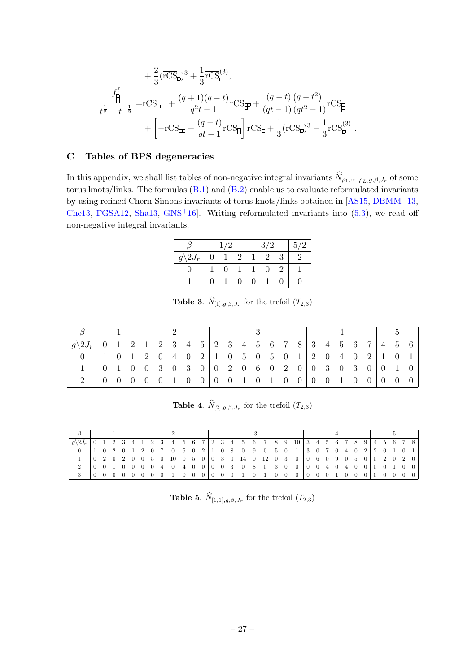$$
+\frac{2}{3}(\overline{rCS}_{\Box})^{3} + \frac{1}{3}\overline{rCS}_{\Box}^{(3)},
$$
  

$$
\frac{f_{\Box}^{\overline{t}}}{t^{\frac{1}{2}} - t^{-\frac{1}{2}}} = \overline{rCS}_{\Box\Box} + \frac{(q+1)(q-t)}{q^{2}t - 1}\overline{rCS}_{\Box\Box} + \frac{(q-t)(q-t^{2})}{(qt-1)(qt^{2}-1)}\overline{rCS}_{\Box} + \left[ -\overline{rCS}_{\Box} + \frac{(q-t)}{qt-1}\overline{rCS}_{\Box} \right] \overline{rCS}_{\Box} + \frac{1}{3}(\overline{rCS}_{\Box})^{3} - \frac{1}{3}\overline{rCS}_{\Box}^{(3)}.
$$

# <span id="page-27-0"></span>C Tables of BPS degeneracies

In this appendix, we shall list tables of non-negative integral invariants  $N_{\rho_1,\dots,\rho_L,g,\beta,J_r}$  of some torus knots/links. The formulas  $(B.1)$  and  $(B.2)$  enable us to evaluate reformulated invariants by using refined Chern-Simons invariants of torus knots/links obtained in [\[AS15,](#page-29-0) [DBMM](#page-29-12)+13, [Che13,](#page-29-4) [FGSA12,](#page-29-13) [Sha13,](#page-31-9) [GNS](#page-30-17)<sup>+</sup>16. Writing reformulated invariants into  $(5.3)$ , we read off non-negative integral invariants.

|                    | 1/2 |   | 3/2            | 5/2 |
|--------------------|-----|---|----------------|-----|
| $g\backslash 2J_r$ |     | 2 | $\overline{2}$ |     |
|                    | 0   |   | $\theta$       |     |
|                    |     |   |                |     |

**Table 3.**  $N_{[1],g,\beta,J_r}$  for the trefoil  $(T_{2,3})$ 

| $g\backslash 2J_r$ | $\overline{0}$ | 1 2             |                |  |                                                                                         |  |  |  |  |  |  |  |                                        | $5\quad 6$ |                                  |
|--------------------|----------------|-----------------|----------------|--|-----------------------------------------------------------------------------------------|--|--|--|--|--|--|--|----------------------------------------|------------|----------------------------------|
| $\theta$           |                |                 |                |  | $0 \t1 \t2 \t0 \t4 \t0 \t2 \t1 \t0 \t5 \t0 \t5 \t0 \t1 \t2 \t0 \t4 \t0 \t2 \t1 \t0 \t1$ |  |  |  |  |  |  |  |                                        |            |                                  |
|                    |                |                 |                |  | $0   0 3 0 3 0   0 2 0 6 0 2 0   0 3 0 3 0   0 1$                                       |  |  |  |  |  |  |  |                                        |            | $\vert 0 \vert$                  |
|                    | $\overline{0}$ | $\vert 0 \vert$ | $\overline{0}$ |  |                                                                                         |  |  |  |  |  |  |  | $\begin{array}{ccc} 0 & 0 \end{array}$ |            | $\begin{array}{c} 0 \end{array}$ |

**Table 4.**  $N_{[2],g,\beta,J_r}$  for the trefoil  $(T_{2,3})$ 

| $ q\rangle 2J_r   0 ~ 1 ~ 2 ~ 3 ~ 4   1 ~ 2 ~ 3 ~ 4 ~ 5 ~ 6 ~ 7   2 ~ 3 ~ 4 ~ 5 ~ 6 ~ 7 ~ 8 ~ 9 ~ 10   3 ~ 4 ~ 5 ~ 6 ~ 7 ~ 8 ~ 9   4 ~ 5 ~ 6 ~ 7 ~ 8  $ |  |  |  |  |                                                                                                                |  |  |  |  |  |  |  |  |  |  |  |  |
|---------------------------------------------------------------------------------------------------------------------------------------------------------|--|--|--|--|----------------------------------------------------------------------------------------------------------------|--|--|--|--|--|--|--|--|--|--|--|--|
|                                                                                                                                                         |  |  |  |  |                                                                                                                |  |  |  |  |  |  |  |  |  |  |  |  |
|                                                                                                                                                         |  |  |  |  |                                                                                                                |  |  |  |  |  |  |  |  |  |  |  |  |
|                                                                                                                                                         |  |  |  |  | $(0\ 0\ 1\ 0\ 0\ 0\ 0\ 4\ 0\ 4\ 0\ 0\ 0\ 0\ 3\ 0\ 8\ 0\ 3\ 0\ 0\ 0\ 0\ 4\ 0\ 4\ 0\ 0\ 0\ 0\ 1\ 0\ 0\ 1\ 0\ 0\$ |  |  |  |  |  |  |  |  |  |  |  |  |
|                                                                                                                                                         |  |  |  |  |                                                                                                                |  |  |  |  |  |  |  |  |  |  |  |  |

**Table 5.**  $N_{[1,1],g,\beta,J_r}$  for the trefoil  $(T_{2,3})$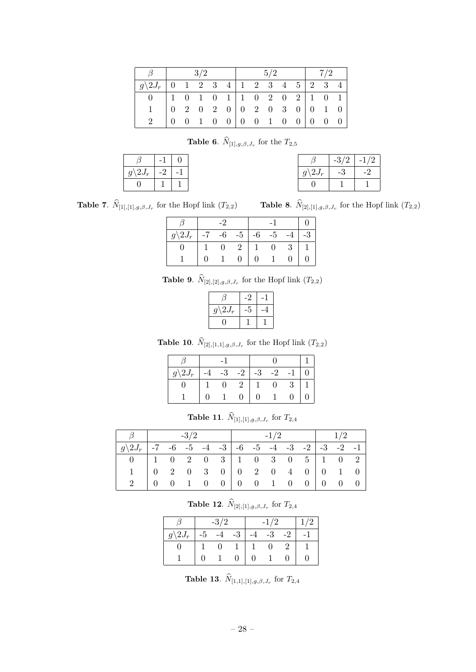| $\beta$                                      |  | 3/2 |  | 5/2 |  | 7/2 |                                                     |  |  |  |
|----------------------------------------------|--|-----|--|-----|--|-----|-----------------------------------------------------|--|--|--|
| $g \setminus 2J_r$ 0 1 2 3 4 1 2 3 4 5 2 3 4 |  |     |  |     |  |     |                                                     |  |  |  |
| $\Omega$                                     |  |     |  |     |  |     | $1 \t0 \t1 \t0 \t1 \t1 \t0 \t2 \t0 \t2 \t1 \t0 \t1$ |  |  |  |
|                                              |  |     |  |     |  |     |                                                     |  |  |  |
|                                              |  |     |  |     |  |     | $0 \t0 \t1 \t0 \t0 \t0 \t0 \t1 \t0 \t0 \t0 \t0 \t0$ |  |  |  |

**Table 6.**  $N_{[1],g,\beta,J_r}$  for the  $T_{2,5}$ 

| $g\backslash 2J_r$ |  |
|--------------------|--|
|                    |  |

|                    | $-3/2$ | -1/2 |
|--------------------|--------|------|
| $g\backslash 2J_r$ |        | -2   |
|                    |        |      |

**Table 7.**  $N_{[1],[1],g,\beta,J_r}$  for the Hopf link  $(T_{2,2})$  **Table 8.**  $N_{[2],[1],g,\beta,J_r}$  for the Hopf link  $(T_{2,2})$ 

| $g\backslash 2J_r$ |  | $-7$ $-6$ $-5$ | $-6$           | $-5$           |  |
|--------------------|--|----------------|----------------|----------------|--|
|                    |  | 2              | $\overline{1}$ | $\overline{0}$ |  |
|                    |  |                | 0              |                |  |

**Table 9.**  $N_{[2],[2],g,\beta,J_r}$  for the Hopf link  $(T_{2,2})$ 

|                    | -2 |  |
|--------------------|----|--|
| $g\backslash 2J_r$ |    |  |
|                    |    |  |

**Table 10.**  $N_{[2],[1,1],g,\beta,J_r}$  for the Hopf link  $(T_{2,2})$ 

| $g\backslash 2J_r$ |  | $-3$           | $-2$ |                | $-3$ $-2$ $-1$ |      |  |
|--------------------|--|----------------|------|----------------|----------------|------|--|
|                    |  | $\overline{0}$ | 2    | $\overline{1}$ | $\overline{0}$ | $-3$ |  |
|                    |  |                | 0    | O              |                |      |  |

**Table 11.**  $N_{[1],[1],g,\beta,J_r}$  for  $T_{2,4}$ 

|                                                         | $-3/2$ |  |  |  |  |  | $-1/2$ |  |  |  | 1/2 |  |  |
|---------------------------------------------------------|--------|--|--|--|--|--|--------|--|--|--|-----|--|--|
| $ g\angle 2J_r $ -7 -6 -5 -4 -3 -6 -5 -4 -3 -2 -3 -2 -1 |        |  |  |  |  |  |        |  |  |  |     |  |  |
|                                                         |        |  |  |  |  |  |        |  |  |  |     |  |  |
| $1 \quad$                                               |        |  |  |  |  |  |        |  |  |  |     |  |  |
|                                                         |        |  |  |  |  |  |        |  |  |  |     |  |  |

**Table 12.**  $N_{[2],[1],g,\beta,J_r}$  for  $T_{2,4}$ 

|        |      | 3/ |      |  |               |  |  |
|--------|------|----|------|--|---------------|--|--|
| $2J_r$ | $-5$ |    | $-3$ |  | $\mathcal{R}$ |  |  |
|        |      |    |      |  |               |  |  |
|        |      |    |      |  |               |  |  |

**Table 13.**  $N_{[1,1],[1],g,\beta,J_r}$  for  $T_{2,4}$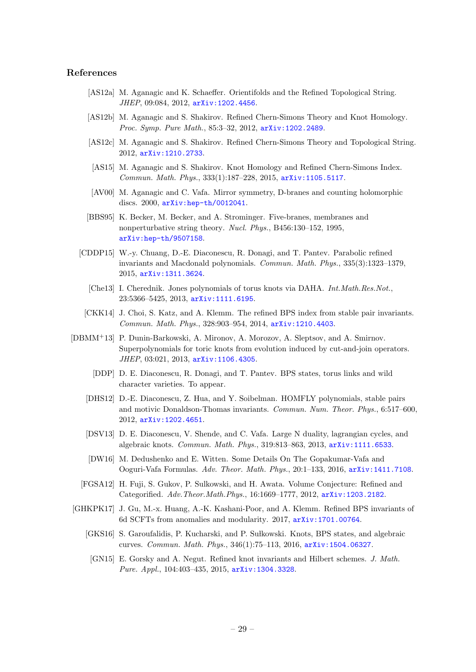#### References

- <span id="page-29-15"></span>[AS12a] M. Aganagic and K. Schaeffer. Orientifolds and the Refined Topological String. JHEP, 09:084, 2012, [arXiv:1202.4456](http://arxiv.org/abs/1202.4456).
- <span id="page-29-1"></span>[AS12b] M. Aganagic and S. Shakirov. Refined Chern-Simons Theory and Knot Homology. Proc. Symp. Pure Math., 85:3-32, 2012,  $arXiv:1202.2489$ .
- <span id="page-29-2"></span>[AS12c] M. Aganagic and S. Shakirov. Refined Chern-Simons Theory and Topological String. 2012, [arXiv:1210.2733](http://arxiv.org/abs/1210.2733).
- <span id="page-29-0"></span>[AS15] M. Aganagic and S. Shakirov. Knot Homology and Refined Chern-Simons Index. Commun. Math. Phys., 333(1):187–228, 2015, [arXiv:1105.5117](http://arxiv.org/abs/1105.5117).
- <span id="page-29-11"></span>[AV00] M. Aganagic and C. Vafa. Mirror symmetry, D-branes and counting holomorphic discs. 2000, [arXiv:hep-th/0012041](http://arxiv.org/abs/hep-th/0012041).
- <span id="page-29-7"></span>[BBS95] K. Becker, M. Becker, and A. Strominger. Five-branes, membranes and nonperturbative string theory. Nucl. Phys., B456:130–152, 1995, [arXiv:hep-th/9507158](http://arxiv.org/abs/hep-th/9507158).
- <span id="page-29-9"></span>[CDDP15] W.-y. Chuang, D.-E. Diaconescu, R. Donagi, and T. Pantev. Parabolic refined invariants and Macdonald polynomials. Commun. Math. Phys., 335(3):1323–1379, 2015, [arXiv:1311.3624](http://arxiv.org/abs/1311.3624).
	- [Che13] I. Cherednik. Jones polynomials of torus knots via DAHA. Int.Math.Res.Not., 23:5366–5425, 2013, [arXiv:1111.6195](http://arxiv.org/abs/1111.6195).
- <span id="page-29-8"></span><span id="page-29-4"></span>[CKK14] J. Choi, S. Katz, and A. Klemm. The refined BPS index from stable pair invariants. Commun. Math. Phys., 328:903–954, 2014, [arXiv:1210.4403](http://arxiv.org/abs/1210.4403).
- <span id="page-29-16"></span><span id="page-29-14"></span><span id="page-29-12"></span>[DBMM+13] P. Dunin-Barkowski, A. Mironov, A. Morozov, A. Sleptsov, and A. Smirnov. Superpolynomials for toric knots from evolution induced by cut-and-join operators. JHEP, 03:021, 2013, [arXiv:1106.4305](http://arxiv.org/abs/1106.4305).
	- [DDP] D. E. Diaconescu, R. Donagi, and T. Pantev. BPS states, torus links and wild character varieties. To appear.
	- [DHS12] D.-E. Diaconescu, Z. Hua, and Y. Soibelman. HOMFLY polynomials, stable pairs and motivic Donaldson-Thomas invariants. Commun. Num. Theor. Phys., 6:517–600, 2012, [arXiv:1202.4651](http://arxiv.org/abs/1202.4651).
	- [DSV13] D. E. Diaconescu, V. Shende, and C. Vafa. Large N duality, lagrangian cycles, and algebraic knots. Commun. Math. Phys., 319:813–863, 2013, [arXiv:1111.6533](http://arxiv.org/abs/1111.6533).
	- [DW16] M. Dedushenko and E. Witten. Some Details On The Gopakumar-Vafa and Ooguri-Vafa Formulas. Adv. Theor. Math. Phys., 20:1–133, 2016, [arXiv:1411.7108](http://arxiv.org/abs/1411.7108).
	- [FGSA12] H. Fuji, S. Gukov, P. Sulkowski, and H. Awata. Volume Conjecture: Refined and Categorified. Adv.Theor.Math.Phys., 16:1669–1777, 2012, [arXiv:1203.2182](http://arxiv.org/abs/1203.2182).
- <span id="page-29-17"></span><span id="page-29-13"></span><span id="page-29-10"></span><span id="page-29-6"></span><span id="page-29-5"></span><span id="page-29-3"></span>[GHKPK17] J. Gu, M.-x. Huang, A.-K. Kashani-Poor, and A. Klemm. Refined BPS invariants of 6d SCFTs from anomalies and modularity. 2017, [arXiv:1701.00764](http://arxiv.org/abs/1701.00764).
	- [GKS16] S. Garoufalidis, P. Kucharski, and P. Sułkowski. Knots, BPS states, and algebraic curves. Commun. Math. Phys., 346(1):75–113, 2016, [arXiv:1504.06327](http://arxiv.org/abs/1504.06327).
	- [GN15] E. Gorsky and A. Negut. Refined knot invariants and Hilbert schemes. J. Math. Pure. Appl., 104:403–435, 2015, [arXiv:1304.3328](http://arxiv.org/abs/1304.3328).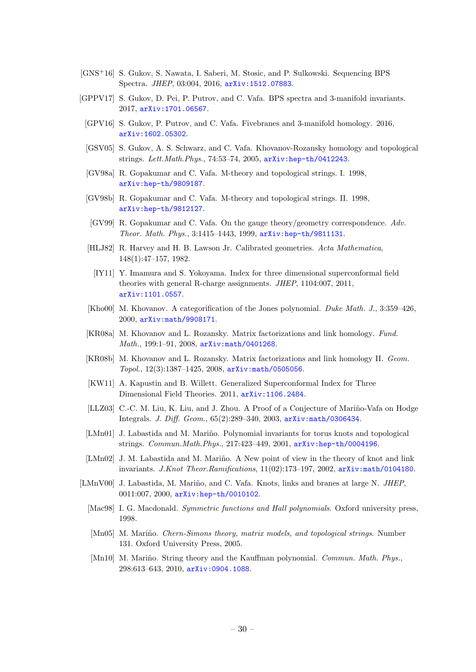- <span id="page-30-17"></span>[GNS+16] S. Gukov, S. Nawata, I. Saberi, M. Stosic, and P. Sulkowski. Sequencing BPS Spectra. JHEP, 03:004, 2016, [arXiv:1512.07883](http://arxiv.org/abs/1512.07883).
- <span id="page-30-16"></span><span id="page-30-15"></span><span id="page-30-13"></span><span id="page-30-10"></span><span id="page-30-9"></span><span id="page-30-8"></span><span id="page-30-7"></span><span id="page-30-0"></span>[GPPV17] S. Gukov, D. Pei, P. Putrov, and C. Vafa. BPS spectra and 3-manifold invariants. 2017, [arXiv:1701.06567](http://arxiv.org/abs/1701.06567).
	- [GPV16] S. Gukov, P. Putrov, and C. Vafa. Fivebranes and 3-manifold homology. 2016, [arXiv:1602.05302](http://arxiv.org/abs/1602.05302).
	- [GSV05] S. Gukov, A. S. Schwarz, and C. Vafa. Khovanov-Rozansky homology and topological strings. Lett.Math.Phys., 74:53–74, 2005, [arXiv:hep-th/0412243](http://arxiv.org/abs/hep-th/0412243).
	- [GV98a] R. Gopakumar and C. Vafa. M-theory and topological strings. I. 1998, [arXiv:hep-th/9809187](http://arxiv.org/abs/hep-th/9809187).
	- [GV98b] R. Gopakumar and C. Vafa. M-theory and topological strings. II. 1998, [arXiv:hep-th/9812127](http://arxiv.org/abs/hep-th/9812127).
	- [GV99] R. Gopakumar and C. Vafa. On the gauge theory/geometry correspondence. Adv. Theor. Math. Phys., 3:1415–1443, 1999, [arXiv:hep-th/9811131](http://arxiv.org/abs/hep-th/9811131).
	- [HLJ82] R. Harvey and H. B. Lawson Jr. Calibrated geometries. Acta Mathematica, 148(1):47–157, 1982.
	- [IY11] Y. Imamura and S. Yokoyama. Index for three dimensional superconformal field theories with general R-charge assignments. JHEP, 1104:007, 2011, [arXiv:1101.0557](http://arxiv.org/abs/1101.0557).
	- [Kho00] M. Khovanov. A categorification of the Jones polynomial. Duke Math. J., 3:359–426, 2000, [arXiv:math/9908171](http://arxiv.org/abs/math/9908171).
	- [KR08a] M. Khovanov and L. Rozansky. Matrix factorizations and link homology. Fund. Math., 199:1-91, 2008, [arXiv:math/0401268](http://arxiv.org/abs/math/0401268).
	- [KR08b] M. Khovanov and L. Rozansky. Matrix factorizations and link homology II. Geom. Topol., 12(3):1387–1425, 2008, [arXiv:math/0505056](http://arxiv.org/abs/math/0505056).
	- [KW11] A. Kapustin and B. Willett. Generalized Superconformal Index for Three Dimensional Field Theories. 2011, [arXiv:1106.2484](http://arxiv.org/abs/1106.2484).
	- [LLZ03] C.-C. M. Liu, K. Liu, and J. Zhou. A Proof of a Conjecture of Mariño-Vafa on Hodge Integrals. J. Diff. Geom., 65(2):289–340, 2003, [arXiv:math/0306434](http://arxiv.org/abs/math/0306434).
	- [LMn01] J. Labastida and M. Mariño. Polynomial invariants for torus knots and topological strings. Commun.Math.Phys., 217:423–449, 2001, [arXiv:hep-th/0004196](http://arxiv.org/abs/hep-th/0004196).
- <span id="page-30-14"></span><span id="page-30-11"></span><span id="page-30-6"></span><span id="page-30-5"></span><span id="page-30-4"></span><span id="page-30-3"></span><span id="page-30-1"></span>[LMn02] J. M. Labastida and M. Mariño. A New point of view in the theory of knot and link invariants. J.Knot Theor.Ramifications, 11(02):173–197, 2002, [arXiv:math/0104180](http://arxiv.org/abs/math/0104180).
- <span id="page-30-19"></span><span id="page-30-18"></span><span id="page-30-12"></span><span id="page-30-2"></span>[LMnV00] J. Labastida, M. Mariño, and C. Vafa. Knots, links and branes at large N. JHEP, 0011:007, 2000, [arXiv:hep-th/0010102](http://arxiv.org/abs/hep-th/0010102).
	- [Mac98] I. G. Macdonald. Symmetric functions and Hall polynomials. Oxford university press, 1998.
	- [Mn05] M. Mariño. Chern-Simons theory, matrix models, and topological strings. Number 131. Oxford University Press, 2005.
	- [Mn10] M. Mariño. String theory and the Kauffman polynomial. Commun. Math. Phys., 298:613–643, 2010, [arXiv:0904.1088](http://arxiv.org/abs/0904.1088).